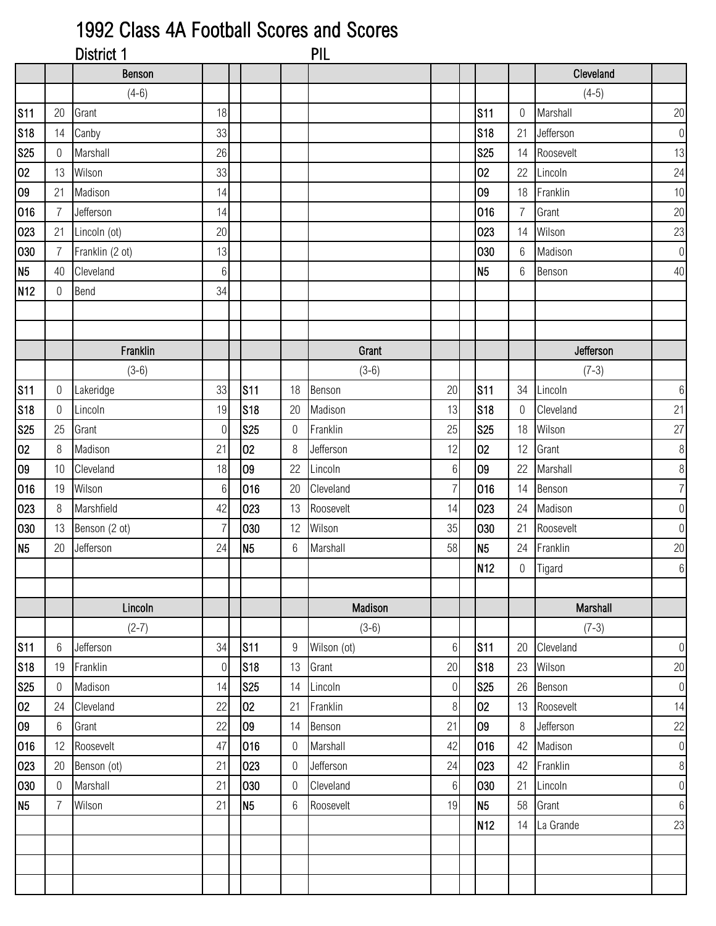## 1992 Class 4A Football Scores and Scores

|                 |                  | District 1      |                |                 |             | <b>PIL</b>  |                 |                 |                  |           |                  |
|-----------------|------------------|-----------------|----------------|-----------------|-------------|-------------|-----------------|-----------------|------------------|-----------|------------------|
|                 |                  | <b>Benson</b>   |                |                 |             |             |                 |                 |                  | Cleveland |                  |
|                 |                  | $(4-6)$         |                |                 |             |             |                 |                 |                  | $(4-5)$   |                  |
| <b>S11</b>      | 20               | Grant           | 18             |                 |             |             |                 | <b>S11</b>      | $\mathbf 0$      | Marshall  | $20\,$           |
| S <sub>18</sub> | 14               | Canby           | 33             |                 |             |             |                 | <b>S18</b>      | 21               | Jefferson | $\boldsymbol{0}$ |
| <b>S25</b>      | 0                | Marshall        | 26             |                 |             |             |                 | <b>S25</b>      | 14               | Roosevelt | 13               |
| 02              | 13               | Wilson          | 33             |                 |             |             |                 | 02              | 22               | Lincoln   | 24               |
| 09              | 21               | Madison         | 14             |                 |             |             |                 | 09              | 18               | Franklin  | 10               |
| 016             | $\overline{7}$   | Jefferson       | 14             |                 |             |             |                 | 016             | $\overline{7}$   | Grant     | $20\,$           |
| 023             | 21               | Lincoln (ot)    | 20             |                 |             |             |                 | 023             | 14               | Wilson    | 23               |
| 030             | $\overline{7}$   | Franklin (2 ot) | 13             |                 |             |             |                 | 030             | $6\phantom{.}6$  | Madison   | $\boldsymbol{0}$ |
| N <sub>5</sub>  | 40               | Cleveland       | $6 \mid$       |                 |             |             |                 | N <sub>5</sub>  | $6\phantom{.}6$  | Benson    | 40               |
| N <sub>12</sub> | $\boldsymbol{0}$ | Bend            | 34             |                 |             |             |                 |                 |                  |           |                  |
|                 |                  |                 |                |                 |             |             |                 |                 |                  |           |                  |
|                 |                  |                 |                |                 |             |             |                 |                 |                  |           |                  |
|                 |                  | Franklin        |                |                 |             | Grant       |                 |                 |                  | Jefferson |                  |
|                 |                  | $(3-6)$         |                |                 |             | $(3-6)$     |                 |                 |                  | $(7-3)$   |                  |
| <b>S11</b>      | 0                | Lakeridge       | 33             | S <sub>11</sub> | 18          | Benson      | 20              | <b>S11</b>      | 34               | Lincoln   | $\,6\,$          |
| <b>S18</b>      | $\boldsymbol{0}$ | Lincoln         | 19             | <b>S18</b>      | 20          | Madison     | 13              | <b>S18</b>      | 0                | Cleveland | 21               |
| <b>S25</b>      | 25               | Grant           | 0              | <b>S25</b>      | $\mathbf 0$ | Franklin    | 25              | <b>S25</b>      | 18               | Wilson    | $27\,$           |
| 02              | 8                | Madison         | 21             | 02              | $8\,$       | Jefferson   | 12              | 02              | 12               | Grant     | $\,8\,$          |
| 09              | 10               | Cleveland       | 18             | 09              | 22          | Lincoln     | $6 \mid$        | 09              | 22               | Marshall  | $\, 8$           |
| 016             | 19               | Wilson          | $6\,$          | 016             | 20          | Cleveland   | $\overline{7}$  | 016             | 14               | Benson    | $\overline{7}$   |
| 023             | 8                | Marshfield      | 42             | 023             | 13          | Roosevelt   | 14              | 023             | 24               | Madison   | $\boldsymbol{0}$ |
| 030             | 13               | Benson (2 ot)   | $\overline{7}$ | 030             | 12          | Wilson      | 35              | 030             | 21               | Roosevelt | $\boldsymbol{0}$ |
| N <sub>5</sub>  | 20               | Jefferson       | 24             | N <sub>5</sub>  | $6\,$       | Marshall    | 58              | N <sub>5</sub>  | 24               | Franklin  | $20\,$           |
|                 |                  |                 |                |                 |             |             |                 | N <sub>12</sub> | $\boldsymbol{0}$ | Tigard    | $6 \,$           |
|                 |                  |                 |                |                 |             |             |                 |                 |                  |           |                  |
|                 |                  | Lincoln         |                |                 |             | Madison     |                 |                 |                  | Marshall  |                  |
|                 |                  | $(2-7)$         |                |                 |             | $(3-6)$     |                 |                 |                  | $(7-3)$   |                  |
| S <sub>11</sub> | 6                | Jefferson       | 34             | S <sub>11</sub> | 9           | Wilson (ot) | $6 \mid$        | <b>S11</b>      | 20               | Cleveland | $\overline{0}$   |
| <b>S18</b>      | 19               | Franklin        | $\overline{0}$ | S18             | 13          | Grant       | 20              | <b>S18</b>      | 23               | Wilson    | 20               |
| <b>S25</b>      | $\overline{0}$   | Madison         | 14             | <b>S25</b>      | 14          | Lincoln     | $\overline{0}$  | <b>S25</b>      | 26               | Benson    | $\theta$         |
| 02              | 24               | Cleveland       | 22             | 02              | 21          | Franklin    | 8               | 02              | 13               | Roosevelt | 14               |
| 09              | 6                | Grant           | 22             | 09              | 14          | Benson      | 21              | 09              | 8                | Jefferson | 22               |
| 016             | 12               | Roosevelt       | 47             | 016             | 0           | Marshall    | 42              | 016             | 42               | Madison   | $\boldsymbol{0}$ |
| 023             | 20               | Benson (ot)     | 21             | 023             | 0           | Jefferson   | 24              | 023             | 42               | Franklin  | $\,8\,$          |
| 030             | $\overline{0}$   | Marshall        | 21             | 030             | $\mathbf 0$ | Cleveland   | $6\phantom{.}6$ | 030             | 21               | Lincoln   | $\overline{0}$   |
| N <sub>5</sub>  | $\overline{7}$   | Wilson          | 21             | N <sub>5</sub>  | $6\,$       | Roosevelt   | 19              | N <sub>5</sub>  | 58               | Grant     | $6\,$            |
|                 |                  |                 |                |                 |             |             |                 | N <sub>12</sub> | 14               | La Grande | 23               |
|                 |                  |                 |                |                 |             |             |                 |                 |                  |           |                  |
|                 |                  |                 |                |                 |             |             |                 |                 |                  |           |                  |
|                 |                  |                 |                |                 |             |             |                 |                 |                  |           |                  |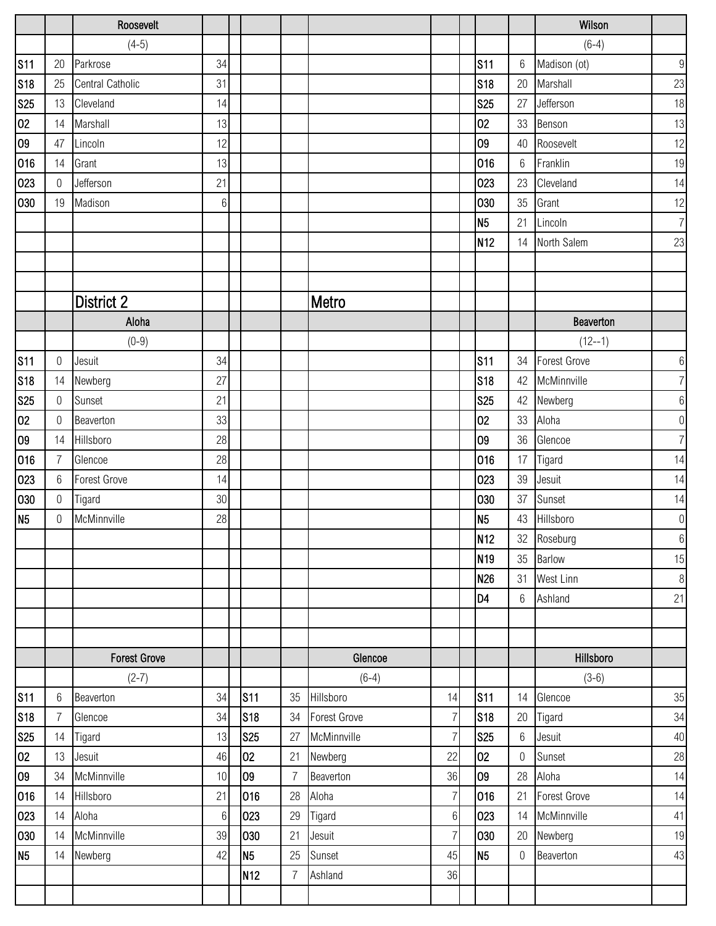|                |                | Roosevelt               |        |                 |                |                     |                |                 |                  | Wilson              |                  |
|----------------|----------------|-------------------------|--------|-----------------|----------------|---------------------|----------------|-----------------|------------------|---------------------|------------------|
|                |                | $(4-5)$                 |        |                 |                |                     |                |                 |                  | $(6-4)$             |                  |
| <b>S11</b>     | 20             | Parkrose                | 34     |                 |                |                     |                | <b>S11</b>      | 6                | Madison (ot)        | $\boldsymbol{9}$ |
| <b>S18</b>     | 25             | <b>Central Catholic</b> | 31     |                 |                |                     |                | <b>S18</b>      | 20               | Marshall            | 23               |
| <b>S25</b>     | 13             | Cleveland               | 14     |                 |                |                     |                | <b>S25</b>      | 27               | Jefferson           | 18               |
| 02             | 14             | Marshall                | 13     |                 |                |                     |                | 02              | 33               | Benson              | 13               |
| 09             | 47             | Lincoln                 | 12     |                 |                |                     |                | 09              | 40               | Roosevelt           | 12               |
| 016            | 14             | Grant                   | 13     |                 |                |                     |                | 016             | $6\,$            | Franklin            | 19               |
| 023            | $\mathbf 0$    | Jefferson               | 21     |                 |                |                     |                | 023             | 23               | Cleveland           | 14               |
| 030            | 19             | Madison                 | $6\,$  |                 |                |                     |                | 030             | 35               | Grant               | 12               |
|                |                |                         |        |                 |                |                     |                | N <sub>5</sub>  | 21               | Lincoln             | $\overline{7}$   |
|                |                |                         |        |                 |                |                     |                | N <sub>12</sub> | 14               | North Salem         | 23               |
|                |                |                         |        |                 |                |                     |                |                 |                  |                     |                  |
|                |                |                         |        |                 |                |                     |                |                 |                  |                     |                  |
|                |                | <b>District 2</b>       |        |                 |                | Metro               |                |                 |                  |                     |                  |
|                |                | Aloha                   |        |                 |                |                     |                |                 |                  | Beaverton           |                  |
|                |                | $(0-9)$                 |        |                 |                |                     |                |                 |                  | $(12 - -1)$         |                  |
| <b>S11</b>     | 0              | Jesuit                  | 34     |                 |                |                     |                | <b>S11</b>      | 34               | <b>Forest Grove</b> | $6\,$            |
| <b>S18</b>     | 14             | Newberg                 | 27     |                 |                |                     |                | <b>S18</b>      | 42               | McMinnville         | $\overline{7}$   |
| <b>S25</b>     | $\overline{0}$ | Sunset                  | 21     |                 |                |                     |                | <b>S25</b>      | 42               | Newberg             | $\boldsymbol{6}$ |
| 02             | 0              | Beaverton               | 33     |                 |                |                     |                | 02              | 33               | Aloha               | $\boldsymbol{0}$ |
| 09             | 14             | Hillsboro               | 28     |                 |                |                     |                | 09              | 36               | Glencoe             | $\overline{7}$   |
| 016            | $\overline{7}$ | Glencoe                 | 28     |                 |                |                     |                | 016             | 17               | Tigard              | 14               |
| 023            | 6              | <b>Forest Grove</b>     | 14     |                 |                |                     |                | 023             | 39               | Jesuit              | 14               |
| 030            | $\mathbf 0$    | Tigard                  | $30\,$ |                 |                |                     |                | 030             | 37               | Sunset              | 14               |
| N <sub>5</sub> | 0              | McMinnville             | 28     |                 |                |                     |                | N <sub>5</sub>  | 43               | Hillsboro           | $\boldsymbol{0}$ |
|                |                |                         |        |                 |                |                     |                | N <sub>12</sub> | 32               | Roseburg            | $6\,$            |
|                |                |                         |        |                 |                |                     |                | N <sub>19</sub> | 35               | Barlow              | 15               |
|                |                |                         |        |                 |                |                     |                | N26             | 31               | West Linn           | $\, 8$           |
|                |                |                         |        |                 |                |                     |                | D <sub>4</sub>  | 6                | Ashland             | 21               |
|                |                |                         |        |                 |                |                     |                |                 |                  |                     |                  |
|                |                |                         |        |                 |                |                     |                |                 |                  |                     |                  |
|                |                | <b>Forest Grove</b>     |        |                 |                | Glencoe             |                |                 |                  | Hillsboro           |                  |
|                |                | $(2-7)$                 |        |                 |                | $(6-4)$             |                |                 |                  | $(3-6)$             |                  |
| <b>S11</b>     | 6              | Beaverton               | 34     | <b>S11</b>      | 35             | Hillsboro           | 14             | <b>S11</b>      | 14               | Glencoe             | 35               |
| <b>S18</b>     | $\overline{7}$ | Glencoe                 | 34     | S18             | 34             | <b>Forest Grove</b> | $\overline{7}$ | S18             | 20               | Tigard              | 34               |
| <b>S25</b>     | 14             | Tigard                  | 13     | <b>S25</b>      | 27             | McMinnville         | $\overline{7}$ | <b>S25</b>      | $6\,$            | Jesuit              | 40               |
| 02             | 13             | Jesuit                  | 46     | 02              | 21             | Newberg             | 22             | 02              | $\boldsymbol{0}$ | Sunset              | 28               |
| 09             | 34             | McMinnville             | 10     | 09              | $\overline{7}$ | Beaverton           | 36             | 09              | 28               | Aloha               | 14               |
| 016            | 14             | Hillsboro               | 21     | 016             | 28             | Aloha               | $\overline{7}$ | 016             | 21               | <b>Forest Grove</b> | 14               |
| 023            | 14             | Aloha                   | $6\,$  | 023             | 29             | Tigard              | $6 \,$         | 023             | 14               | McMinnville         | 41               |
| 030            | 14             | McMinnville             | 39     | 030             | 21             | Jesuit              | $\overline{7}$ | 030             | 20               | Newberg             | 19               |
| N <sub>5</sub> | 14             | Newberg                 | 42     | N <sub>5</sub>  | 25             | Sunset              | 45             | N <sub>5</sub>  | $\boldsymbol{0}$ | Beaverton           | 43               |
|                |                |                         |        | N <sub>12</sub> | $\overline{7}$ | Ashland             | 36             |                 |                  |                     |                  |
|                |                |                         |        |                 |                |                     |                |                 |                  |                     |                  |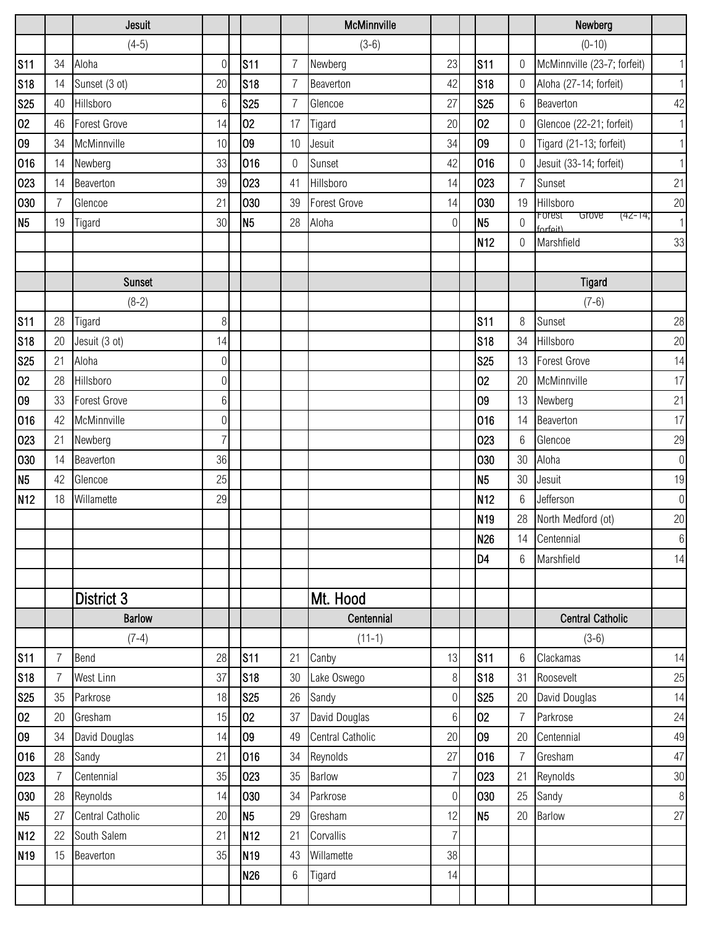|                  |                | Jesuit                  |                 |                          |                | McMinnville            |                                   |                 |            |                      | Newberg                                |                  |
|------------------|----------------|-------------------------|-----------------|--------------------------|----------------|------------------------|-----------------------------------|-----------------|------------|----------------------|----------------------------------------|------------------|
|                  |                | $(4-5)$                 |                 |                          |                | $(3-6)$                |                                   |                 |            |                      | $(0-10)$                               |                  |
| <b>S11</b>       | 34             | Aloha                   | $\overline{0}$  | <b>S11</b>               | $\overline{7}$ | Newberg                | 23                                | <b>S11</b>      |            | $\mathbf 0$          | McMinnville (23-7; forfeit)            | $\vert$          |
| <b>S18</b>       | 14             | Sunset (3 ot)           | 20              | <b>S18</b>               | $\overline{7}$ | Beaverton              | 42                                | <b>S18</b>      |            | 0                    | Aloha (27-14; forfeit)                 | $\vert$          |
| <b>S25</b>       | 40             | Hillsboro               | $6\phantom{1}6$ | <b>S25</b>               | 7              | Glencoe                | 27                                | <b>S25</b>      |            | 6                    | Beaverton                              | 42               |
| 02               | 46             | <b>Forest Grove</b>     | 14              | 02                       | 17             | Tigard                 | 20                                | 02              |            | $\mathbf 0$          | Glencoe (22-21; forfeit)               | $\vert$          |
| 09               | 34             | McMinnville             | 10              | 09                       | 10             | Jesuit                 | 34                                | 09              |            | $\mathbf 0$          | Tigard (21-13; forfeit)                | $\vert$          |
| 016              | 14             | Newberg                 | 33              | 016                      | $\mathbf 0$    | Sunset                 | 42                                | 016             |            | $\boldsymbol{0}$     | Jesuit (33-14; forfeit)                | 1                |
| 023              | 14             | Beaverton               | 39              | 023                      | 41             | Hillsboro              | 14                                | 023             |            | $\overline{7}$       | Sunset                                 | 21               |
| 030              | 7              | Glencoe                 | 21              | 030                      | 39             | Forest Grove           | 14                                |                 | 030        | 19                   | Hillsboro                              | 20               |
| N <sub>5</sub>   | 19             | Tigard                  | 30              | N <sub>5</sub>           | 28             | Aloha                  | $\Omega$                          | N <sub>5</sub>  |            | $\boldsymbol{0}$     | Forest<br>Grove<br>(42-14;<br>forfait) | $\vert$          |
|                  |                |                         |                 |                          |                |                        |                                   | N <sub>12</sub> |            | $\mathbf 0$          | Marshfield                             | 33               |
|                  |                |                         |                 |                          |                |                        |                                   |                 |            |                      |                                        |                  |
|                  |                | <b>Sunset</b>           |                 |                          |                |                        |                                   |                 |            |                      | Tigard                                 |                  |
|                  |                | $(8-2)$                 |                 |                          |                |                        |                                   |                 |            |                      | $(7-6)$                                |                  |
| <b>S11</b>       | 28             | Tigard                  | 8               |                          |                |                        |                                   | <b>S11</b>      |            | 8                    | Sunset                                 | 28               |
| <b>S18</b>       | 20             | Jesuit (3 ot)           | 14              |                          |                |                        |                                   | <b>S18</b>      |            | 34                   | Hillsboro                              | 20               |
| <b>S25</b>       | 21             | Aloha                   | $\mathbf 0$     |                          |                |                        |                                   | <b>S25</b>      |            | 13                   | <b>Forest Grove</b>                    | 14               |
| 02               | 28             | Hillsboro               | $\overline{0}$  |                          |                |                        |                                   | 02              |            | 20                   | McMinnville                            | 17               |
| 09               | 33             | <b>Forest Grove</b>     | 6               |                          |                |                        |                                   | 09              |            | 13                   | Newberg                                | 21               |
| 016              | 42             | McMinnville             | $\mathbf 0$     |                          |                |                        |                                   | 016             |            | 14                   | Beaverton                              | 17               |
| 023              | 21             | Newberg                 | 7               |                          |                |                        |                                   |                 | 023        | 6                    | Glencoe                                | 29               |
| 030              | 14             | Beaverton               | 36              |                          |                |                        |                                   |                 | 030        | 30                   | Aloha                                  | $\boldsymbol{0}$ |
| N <sub>5</sub>   | 42             | Glencoe                 | 25              |                          |                |                        |                                   | N <sub>5</sub>  |            | 30                   | Jesuit                                 | 19               |
| N <sub>12</sub>  | 18             | Willamette              | 29              |                          |                |                        |                                   | N <sub>12</sub> |            | 6                    | Jefferson                              | $\theta$         |
|                  |                |                         |                 |                          |                |                        |                                   | N <sub>19</sub> |            | 28                   | North Medford (ot)                     | 20               |
|                  |                |                         |                 |                          |                |                        |                                   | <b>N26</b>      |            | 14                   | Centennial                             | $6\,$            |
|                  |                |                         |                 |                          |                |                        |                                   | D <sub>4</sub>  |            | 6                    | Marshfield                             | 14               |
|                  |                |                         |                 |                          |                |                        |                                   |                 |            |                      |                                        |                  |
|                  |                | District 3              |                 |                          |                | Mt. Hood               |                                   |                 |            |                      |                                        |                  |
|                  |                | <b>Barlow</b>           |                 |                          |                | Centennial             |                                   |                 |            |                      | <b>Central Catholic</b>                |                  |
|                  |                | $(7-4)$                 |                 |                          |                | $(11-1)$               |                                   |                 |            |                      | $(3-6)$                                |                  |
| <b>S11</b>       | 7              | Bend                    | 28              | S <sub>11</sub>          | 21             | Canby                  | 13                                | <b>S11</b>      |            | 6                    | Clackamas                              | 14               |
| <b>S18</b>       | 35             | West Linn<br>Parkrose   | 37<br>18        | <b>S18</b><br><b>S25</b> | 30<br>26       | Lake Oswego            | 8 <sup>1</sup>                    | <b>S25</b>      | <b>S18</b> | 31                   | Roosevelt                              | 25               |
| <b>S25</b><br>02 | 20             | Gresham                 | 15              | 02                       | 37             | Sandy<br>David Douglas | $\overline{0}$<br>$6\phantom{.}6$ | 02              |            | 20<br>$\overline{7}$ | David Douglas<br>Parkrose              | 14<br>24         |
| 09               | 34             | David Douglas           | 14              | 09                       | 49             | Central Catholic       | 20                                | 09              |            | 20                   | Centennial                             | 49               |
| 016              | 28             | Sandy                   | 21              | 016                      | 34             | Reynolds               | 27                                | 016             |            | $\overline{7}$       | Gresham                                | 47               |
| 023              | $\overline{7}$ | Centennial              | 35              | 023                      | 35             | Barlow                 | 7                                 |                 | 023        | 21                   | Reynolds                               | $30\,$           |
| 030              | 28             | Reynolds                | 14              | 030                      | 34             | Parkrose               | $\overline{0}$                    |                 | 030        | 25                   | Sandy                                  | $\,8$            |
| N <sub>5</sub>   | 27             | <b>Central Catholic</b> | 20              | N <sub>5</sub>           | 29             | Gresham                | 12                                | N <sub>5</sub>  |            | 20                   | Barlow                                 | 27               |
| N <sub>12</sub>  | 22             | South Salem             | 21              | N <sub>12</sub>          | 21             | Corvallis              | $\overline{7}$                    |                 |            |                      |                                        |                  |
| N <sub>19</sub>  | 15             | Beaverton               | 35              | N <sub>19</sub>          | 43             | Willamette             | 38                                |                 |            |                      |                                        |                  |
|                  |                |                         |                 | N <sub>26</sub>          | 6              | Tigard                 | 14                                |                 |            |                      |                                        |                  |
|                  |                |                         |                 |                          |                |                        |                                   |                 |            |                      |                                        |                  |
|                  |                |                         |                 |                          |                |                        |                                   |                 |            |                      |                                        |                  |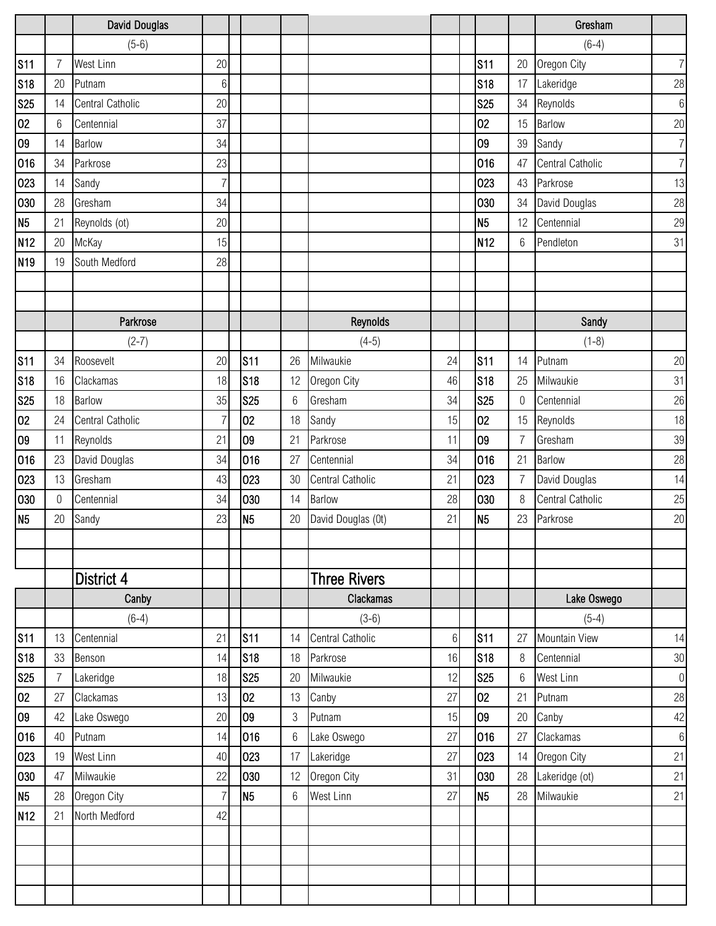|                 |                | David Douglas           |                 |                |       |                     |                 |                 |                | Gresham          |                  |
|-----------------|----------------|-------------------------|-----------------|----------------|-------|---------------------|-----------------|-----------------|----------------|------------------|------------------|
|                 |                | $(5-6)$                 |                 |                |       |                     |                 |                 |                | $(6-4)$          |                  |
| <b>S11</b>      | 7              | West Linn               | 20              |                |       |                     |                 | <b>S11</b>      | 20             | Oregon City      | $\overline{7}$   |
| <b>S18</b>      | 20             | Putnam                  | $6\phantom{.}6$ |                |       |                     |                 | <b>S18</b>      | 17             | Lakeridge        | 28               |
| <b>S25</b>      | 14             | Central Catholic        | 20              |                |       |                     |                 | <b>S25</b>      | 34             | Reynolds         | $6\,$            |
| 02              | 6              | Centennial              | 37              |                |       |                     |                 | 02              | 15             | <b>Barlow</b>    | 20               |
| 09              | 14             | Barlow                  | 34              |                |       |                     |                 | 09              | 39             | Sandy            | $\overline{7}$   |
| 016             | 34             | Parkrose                | 23              |                |       |                     |                 | 016             | 47             | Central Catholic | $\overline{7}$   |
| 023             | 14             | Sandy                   | $\overline{7}$  |                |       |                     |                 | 023             | 43             | Parkrose         | 13               |
| 030             | 28             | Gresham                 | 34              |                |       |                     |                 | 030             | 34             | David Douglas    | 28               |
| N <sub>5</sub>  | 21             | Reynolds (ot)           | 20              |                |       |                     |                 | N <sub>5</sub>  | 12             | Centennial       | 29               |
| N <sub>12</sub> | 20             | McKay                   | 15              |                |       |                     |                 | N <sub>12</sub> | 6              | Pendleton        | 31               |
| N <sub>19</sub> | 19             | South Medford           | 28              |                |       |                     |                 |                 |                |                  |                  |
|                 |                |                         |                 |                |       |                     |                 |                 |                |                  |                  |
|                 |                |                         |                 |                |       |                     |                 |                 |                |                  |                  |
|                 |                | Parkrose                |                 |                |       | Reynolds            |                 |                 |                | Sandy            |                  |
|                 |                | $(2-7)$                 |                 |                |       | $(4-5)$             |                 |                 |                | $(1-8)$          |                  |
| <b>S11</b>      | 34             | Roosevelt               | 20              | <b>S11</b>     | 26    | Milwaukie           | 24              | <b>S11</b>      | 14             | Putnam           | 20               |
| <b>S18</b>      | 16             | Clackamas               | 18              | S18            | 12    | Oregon City         | 46              | <b>S18</b>      | 25             | Milwaukie        | 31               |
| <b>S25</b>      | 18             | <b>Barlow</b>           | 35              | <b>S25</b>     | $6\,$ | Gresham             | 34              | <b>S25</b>      | $\overline{0}$ | Centennial       | 26               |
| 02              | 24             | <b>Central Catholic</b> | $\overline{7}$  | 02             | 18    | Sandy               | 15              | 02              | 15             | Reynolds         | 18               |
| 09              | 11             | Reynolds                | 21              | 09             | 21    | Parkrose            | 11              | 09              | $\overline{7}$ | Gresham          | 39               |
| 016             | 23             | David Douglas           | 34              | 016            | 27    | Centennial          | 34              | 016             | 21             | <b>Barlow</b>    | 28               |
| 023             | 13             | Gresham                 | 43              | 023            | 30    | Central Catholic    | 21              | 023             | $\overline{7}$ | David Douglas    | 14               |
| 030             | 0              | Centennial              | 34              | 030            | 14    | Barlow              | 28              | 030             | 8              | Central Catholic | 25               |
| N <sub>5</sub>  | 20             | Sandy                   | 23              | N <sub>5</sub> | 20    | David Douglas (0t)  | 21              | N <sub>5</sub>  | 23             | Parkrose         | 20               |
|                 |                |                         |                 |                |       |                     |                 |                 |                |                  |                  |
|                 |                |                         |                 |                |       |                     |                 |                 |                |                  |                  |
|                 |                | District 4              |                 |                |       | <b>Three Rivers</b> |                 |                 |                |                  |                  |
|                 |                | Canby                   |                 |                |       | <b>Clackamas</b>    |                 |                 |                | Lake Oswego      |                  |
|                 |                | $(6-4)$                 |                 |                |       | $(3-6)$             |                 |                 |                | $(5-4)$          |                  |
| <b>S11</b>      | 13             | Centennial              | 21              | <b>S11</b>     | 14    | Central Catholic    | $6\phantom{.}6$ | <b>S11</b>      | 27             | Mountain View    | 14               |
| <b>S18</b>      | 33             | Benson                  | 14              | <b>S18</b>     | 18    | Parkrose            | 16              | <b>S18</b>      | 8              | Centennial       | $30\,$           |
| <b>S25</b>      | $\overline{7}$ | Lakeridge               | 18              | <b>S25</b>     | 20    | Milwaukie           | 12              | <b>S25</b>      | $6\,$          | West Linn        | $\boldsymbol{0}$ |
| 02              | 27             | Clackamas               | 13              | 02             | 13    | Canby               | 27              | 02              | 21             | Putnam           | 28               |
| 09              | 42             | Lake Oswego             | 20              | 09             | 3     | Putnam              | 15              | 09              | 20             | Canby            | 42               |
| 016             | 40             | Putnam                  | 14              | 016            | 6     | Lake Oswego         | 27              | 016             | 27             | Clackamas        | $6\,$            |
| 023             | 19             | West Linn               | 40              | 023            | 17    | Lakeridge           | 27              | 023             | 14             | Oregon City      | 21               |
| 030             | 47             | Milwaukie               | 22              | 030            | 12    | Oregon City         | 31              | 030             | 28             | Lakeridge (ot)   | 21               |
| N <sub>5</sub>  | 28             | Oregon City             | $\overline{7}$  | N <sub>5</sub> | 6     | West Linn           | 27              | N <sub>5</sub>  | 28             | Milwaukie        | 21               |
| N <sub>12</sub> | 21             | North Medford           | 42              |                |       |                     |                 |                 |                |                  |                  |
|                 |                |                         |                 |                |       |                     |                 |                 |                |                  |                  |
|                 |                |                         |                 |                |       |                     |                 |                 |                |                  |                  |
|                 |                |                         |                 |                |       |                     |                 |                 |                |                  |                  |
|                 |                |                         |                 |                |       |                     |                 |                 |                |                  |                  |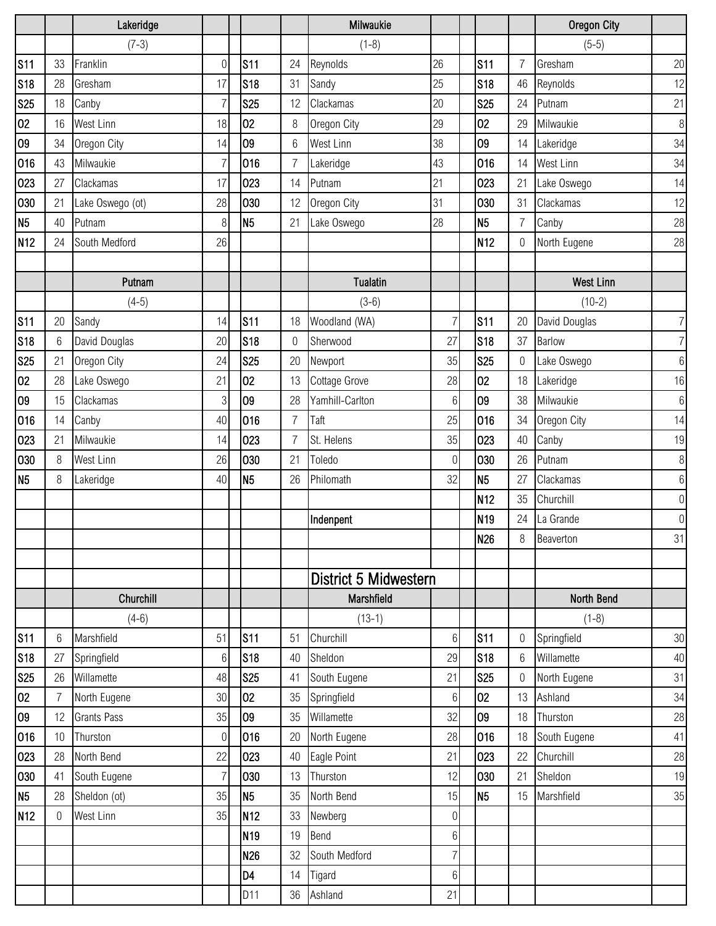|                 |    | Lakeridge          |                 |                 |                | Milwaukie             |                 |                 |                | <b>Oregon City</b> |                  |
|-----------------|----|--------------------|-----------------|-----------------|----------------|-----------------------|-----------------|-----------------|----------------|--------------------|------------------|
|                 |    | $(7-3)$            |                 |                 |                | $(1-8)$               |                 |                 |                | $(5-5)$            |                  |
| S <sub>11</sub> | 33 | Franklin           | $\overline{0}$  | <b>S11</b>      | 24             | Reynolds              | 26              | <b>S11</b>      | $\overline{7}$ | Gresham            | 20               |
| <b>S18</b>      | 28 | Gresham            | 17              | <b>S18</b>      | 31             | Sandy                 | 25              | <b>S18</b>      | 46             | Reynolds           | 12               |
| <b>S25</b>      | 18 | Canby              | 7               | <b>S25</b>      | 12             | Clackamas             | 20              | <b>S25</b>      | 24             | Putnam             | 21               |
| 02              | 16 | West Linn          | 18              | 02              | 8              | Oregon City           | 29              | 02              | 29             | Milwaukie          | $\,8\,$          |
| 09              | 34 | Oregon City        | 14              | 09              | 6              | West Linn             | 38              | 09              | 14             | Lakeridge          | 34               |
| 016             | 43 | Milwaukie          | $\overline{7}$  | 016             | $\overline{7}$ | Lakeridge             | 43              | 016             | 14             | West Linn          | 34               |
| 023             | 27 | Clackamas          | 17              | 023             | 14             | Putnam                | 21              | 023             | 21             | Lake Oswego        | 14               |
| 030             | 21 | Lake Oswego (ot)   | 28              | 030             | 12             | Oregon City           | 31              | 030             | 31             | Clackamas          | 12               |
| N <sub>5</sub>  | 40 | Putnam             | 8               | N <sub>5</sub>  | 21             | Lake Oswego           | 28              | N <sub>5</sub>  | $\overline{7}$ | Canby              | 28               |
| N <sub>12</sub> | 24 | South Medford      | 26              |                 |                |                       |                 | N <sub>12</sub> | $\mathbf 0$    | North Eugene       | 28               |
|                 |    |                    |                 |                 |                |                       |                 |                 |                |                    |                  |
|                 |    | Putnam             |                 |                 |                | <b>Tualatin</b>       |                 |                 |                | <b>West Linn</b>   |                  |
|                 |    | $(4-5)$            |                 |                 |                | $(3-6)$               |                 |                 |                | $(10-2)$           |                  |
| <b>S11</b>      | 20 | Sandy              | 14              | <b>S11</b>      | 18             | Woodland (WA)         | 7               | <b>S11</b>      | 20             | David Douglas      | $\overline{7}$   |
| <b>S18</b>      | 6  | David Douglas      | 20              | S <sub>18</sub> | 0              | Sherwood              | 27              | <b>S18</b>      | 37             | <b>Barlow</b>      | $\overline{7}$   |
| <b>S25</b>      | 21 | Oregon City        | 24              | <b>S25</b>      | 20             | Newport               | 35              | <b>S25</b>      | 0              | Lake Oswego        | $6\,$            |
| 02              | 28 | Lake Oswego        | 21              | 02              | 13             | Cottage Grove         | 28              | 02              | 18             | Lakeridge          | 16               |
| 09              | 15 | Clackamas          | 3               | 09              | 28             | Yamhill-Carlton       | $6\phantom{.}6$ | 09              | 38             | Milwaukie          | $6\,$            |
| 016             | 14 | Canby              | 40              | 016             | $\overline{7}$ | Taft                  | 25              | 016             | 34             | Oregon City        | 14               |
| 023             | 21 | Milwaukie          | 14              | 023             | $\overline{7}$ | St. Helens            | 35              | 023             | 40             | Canby              | 19               |
| 030             | 8  | West Linn          | 26              | 030             | 21             | Toledo                | $\Omega$        | 030             | 26             | Putnam             | $\,8\,$          |
| N <sub>5</sub>  | 8  | Lakeridge          | 40              | N5              | 26             | Philomath             | 32              | N <sub>5</sub>  | 27             | Clackamas          | $6\,$            |
|                 |    |                    |                 |                 |                |                       |                 | N <sub>12</sub> | 35             | Churchill          | $\boldsymbol{0}$ |
|                 |    |                    |                 |                 |                | Indenpent             |                 | N <sub>19</sub> | 24             | La Grande          | $\overline{0}$   |
|                 |    |                    |                 |                 |                |                       |                 | <b>N26</b>      | 8              | Beaverton          | 31               |
|                 |    |                    |                 |                 |                |                       |                 |                 |                |                    |                  |
|                 |    |                    |                 |                 |                | District 5 Midwestern |                 |                 |                |                    |                  |
|                 |    | Churchill          |                 |                 |                | Marshfield            |                 |                 |                | North Bend         |                  |
|                 |    | $(4-6)$            |                 |                 |                | $(13-1)$              |                 |                 |                | $(1-8)$            |                  |
| <b>S11</b>      | 6  | Marshfield         | 51              | <b>S11</b>      | 51             | Churchill             | 6               | <b>S11</b>      | $\mathbf 0$    | Springfield        | 30               |
| <b>S18</b>      | 27 | Springfield        | $6\phantom{.}6$ | <b>S18</b>      | 40             | Sheldon               | 29              | <b>S18</b>      | 6              | Willamette         | 40               |
| <b>S25</b>      | 26 | Willamette         | 48              | <b>S25</b>      | 41             | South Eugene          | 21              | <b>S25</b>      | 0              | North Eugene       | 31               |
| 02              | 7  | North Eugene       | 30              | 02              | 35             | Springfield           | $6\,$           | 02              | 13             | Ashland            | 34               |
| 09              | 12 | <b>Grants Pass</b> | 35              | 09              | 35             | Willamette            | 32              | 09              | 18             | Thurston           | 28               |
| 016             | 10 | Thurston           | $\overline{0}$  | 016             | 20             | North Eugene          | 28              | 016             | 18             | South Eugene       | 41               |
| 023             | 28 | North Bend         | 22              | 023             | 40             | Eagle Point           | 21              | 023             | 22             | Churchill          | 28               |
| 030             | 41 | South Eugene       | $\overline{7}$  | 030             | 13             | Thurston              | 12              | 030             | 21             | Sheldon            | 19               |
| N <sub>5</sub>  | 28 | Sheldon (ot)       | 35              | N <sub>5</sub>  | 35             | North Bend            | 15              | N <sub>5</sub>  | 15             | Marshfield         | 35               |
| N <sub>12</sub> | 0  | West Linn          | 35              | N <sub>12</sub> | 33             | Newberg               | $\overline{0}$  |                 |                |                    |                  |
|                 |    |                    |                 | N <sub>19</sub> | 19             | Bend                  | $6\,$           |                 |                |                    |                  |
|                 |    |                    |                 | N26             | 32             | South Medford         | $\overline{7}$  |                 |                |                    |                  |
|                 |    |                    |                 | D <sub>4</sub>  | 14             | Tigard                | 6               |                 |                |                    |                  |
|                 |    |                    |                 | D11             | 36             | Ashland               | 21              |                 |                |                    |                  |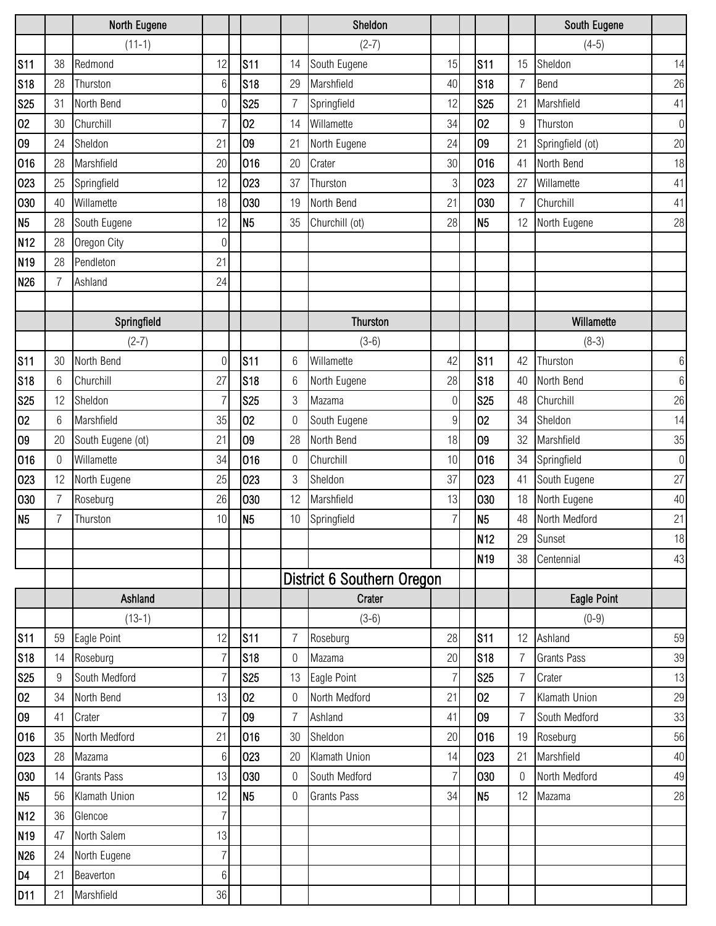|                 |                | North Eugene       |                 |                |                | Sheldon                    |                  |                 |                  | South Eugene       |                |
|-----------------|----------------|--------------------|-----------------|----------------|----------------|----------------------------|------------------|-----------------|------------------|--------------------|----------------|
|                 |                | $(11-1)$           |                 |                |                | $(2-7)$                    |                  |                 |                  | $(4-5)$            |                |
| S <sub>11</sub> | 38             | Redmond            | 12              | <b>S11</b>     | 14             | South Eugene               | 15               | <b>S11</b>      | 15               | Sheldon            | 14             |
| <b>S18</b>      | 28             | Thurston           | $6\phantom{.}6$ | <b>S18</b>     | 29             | Marshfield                 | 40               | <b>S18</b>      | $\overline{7}$   | Bend               | 26             |
| <b>S25</b>      | 31             | North Bend         | $\mathbf 0$     | <b>S25</b>     | $\overline{7}$ | Springfield                | 12               | <b>S25</b>      | 21               | Marshfield         | 41             |
| 02              | 30             | Churchill          |                 | 02             | 14             | Willamette                 | 34               | 02              | $\boldsymbol{9}$ | Thurston           | $\overline{0}$ |
| 09              | 24             | Sheldon            | 21              | 09             | 21             | North Eugene               | 24               | 09              | 21               | Springfield (ot)   | 20             |
| 016             | 28             | Marshfield         | 20              | 016            | 20             | Crater                     | 30               | 016             | 41               | North Bend         | 18             |
| 023             | 25             | Springfield        | 12              | 023            | 37             | Thurston                   | 3                | 023             | 27               | Willamette         | 41             |
| 030             | 40             | Willamette         | 18              | 030            | 19             | North Bend                 | 21               | 030             | $\overline{7}$   | Churchill          | 41             |
| N <sub>5</sub>  | 28             | South Eugene       | 12              | N <sub>5</sub> | 35             | Churchill (ot)             | 28               | N <sub>5</sub>  | 12               | North Eugene       | 28             |
| N <sub>12</sub> | 28             | Oregon City        | $\mathbf 0$     |                |                |                            |                  |                 |                  |                    |                |
| N <sub>19</sub> | 28             | Pendleton          | 21              |                |                |                            |                  |                 |                  |                    |                |
| N <sub>26</sub> | $\overline{7}$ | Ashland            | 24              |                |                |                            |                  |                 |                  |                    |                |
|                 |                |                    |                 |                |                |                            |                  |                 |                  |                    |                |
|                 |                | Springfield        |                 |                |                | Thurston                   |                  |                 |                  | Willamette         |                |
|                 |                | $(2-7)$            |                 |                |                | $(3-6)$                    |                  |                 |                  | $(8-3)$            |                |
| <b>S11</b>      | 30             | North Bend         | $\overline{0}$  | <b>S11</b>     | 6              | Willamette                 | 42               | <b>S11</b>      | 42               | Thurston           | 6              |
| <b>S18</b>      | 6              | Churchill          | 27              | <b>S18</b>     | 6              | North Eugene               | 28               | <b>S18</b>      | 40               | North Bend         | $\,6\,$        |
| <b>S25</b>      | 12             | Sheldon            | $\overline{7}$  | <b>S25</b>     | 3              | Mazama                     | $\Omega$         | <b>S25</b>      | 48               | Churchill          | 26             |
| 02              | 6              | Marshfield         | 35              | 02             | 0              | South Eugene               | $\boldsymbol{9}$ | 02              | 34               | Sheldon            | 14             |
| 09              | 20             | South Eugene (ot)  | 21              | 09             | 28             | North Bend                 | 18               | 09              | 32               | Marshfield         | $35\,$         |
| 016             | 0              | Willamette         | 34              | 016            | 0              | Churchill                  | 10               | 016             | 34               | Springfield        | $\overline{0}$ |
| 023             | 12             | North Eugene       | 25              | 023            | 3              | Sheldon                    | 37               | 023             | 41               | South Eugene       | 27             |
| 030             | 7              | Roseburg           | 26              | 030            | 12             | Marshfield                 | 13               | 030             | 18               | North Eugene       | 40             |
| N <sub>5</sub>  | 7              | Thurston           | 10              | N <sub>5</sub> | 10             | Springfield                | 7                | N <sub>5</sub>  | 48               | North Medford      | 21             |
|                 |                |                    |                 |                |                |                            |                  | N <sub>12</sub> | 29               | Sunset             | 18             |
|                 |                |                    |                 |                |                |                            |                  | N <sub>19</sub> | 38               | Centennial         | 43             |
|                 |                |                    |                 |                |                | District 6 Southern Oregon |                  |                 |                  |                    |                |
|                 |                | Ashland            |                 |                |                | Crater                     |                  |                 |                  | Eagle Point        |                |
|                 |                | $(13-1)$           |                 |                |                | $(3-6)$                    |                  |                 |                  | $(0-9)$            |                |
| <b>S11</b>      | 59             | Eagle Point        | 12              | <b>S11</b>     | 7              | Roseburg                   | 28               | <b>S11</b>      | 12               | Ashland            | 59             |
| S <sub>18</sub> | 14             | Roseburg           | $\overline{7}$  | <b>S18</b>     | 0              | Mazama                     | 20               | <b>S18</b>      | $\overline{7}$   | <b>Grants Pass</b> | 39             |
| <b>S25</b>      | 9              | South Medford      | 7               | <b>S25</b>     | 13             | Eagle Point                | 7                | <b>S25</b>      | $\overline{7}$   | Crater             | 13             |
| 02              | 34             | North Bend         | 13              | 02             | 0              | North Medford              | 21               | 02              | $\overline{7}$   | Klamath Union      | 29             |
| 09              | 41             | Crater             | $\overline{7}$  | 09             | $\overline{7}$ | Ashland                    | 41               | 09              | $\overline{7}$   | South Medford      | 33             |
| 016             | 35             | North Medford      | 21              | 016            | 30             | Sheldon                    | 20               | 016             | 19               | Roseburg           | 56             |
| 023             | 28             | Mazama             | $6\phantom{.}6$ | 023            | 20             | Klamath Union              | 14               | 023             | 21               | Marshfield         | 40             |
| 030             | 14             | <b>Grants Pass</b> | 13              | 030            | 0              | South Medford              | 7                | 030             | 0                | North Medford      | 49             |
| N <sub>5</sub>  | 56             | Klamath Union      | 12              | N <sub>5</sub> | $\mathbf 0$    | <b>Grants Pass</b>         | 34               | N <sub>5</sub>  | 12               | Mazama             | 28             |
| N <sub>12</sub> | 36             | Glencoe            | $\overline{7}$  |                |                |                            |                  |                 |                  |                    |                |
| N <sub>19</sub> | 47             | North Salem        | 13              |                |                |                            |                  |                 |                  |                    |                |
| N <sub>26</sub> | 24             | North Eugene       | $\overline{7}$  |                |                |                            |                  |                 |                  |                    |                |
| D <sub>4</sub>  | 21             | Beaverton          | $6\,$           |                |                |                            |                  |                 |                  |                    |                |
| D <sub>11</sub> | 21             | Marshfield         | 36              |                |                |                            |                  |                 |                  |                    |                |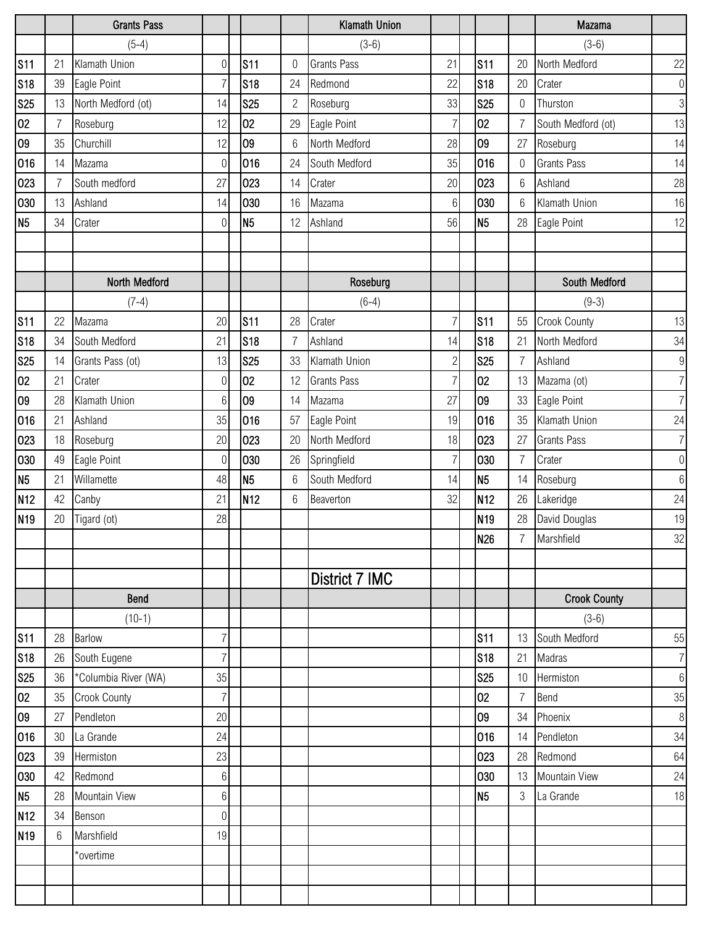|                 |    | <b>Grants Pass</b>   |                 |                 |                | <b>Klamath Union</b> |                 |                 |                  | Mazama              |                  |
|-----------------|----|----------------------|-----------------|-----------------|----------------|----------------------|-----------------|-----------------|------------------|---------------------|------------------|
|                 |    | $(5-4)$              |                 |                 |                | $(3-6)$              |                 |                 |                  | $(3-6)$             |                  |
| <b>S11</b>      | 21 | Klamath Union        | $\overline{0}$  | <b>S11</b>      | 0              | <b>Grants Pass</b>   | 21              | <b>S11</b>      | 20               | North Medford       | 22               |
| <b>S18</b>      | 39 | Eagle Point          | $\overline{7}$  | S <sub>18</sub> | 24             | Redmond              | 22              | <b>S18</b>      | 20               | Crater              | $\boldsymbol{0}$ |
| <b>S25</b>      | 13 | North Medford (ot)   | 14              | <b>S25</b>      | $\overline{2}$ | Roseburg             | 33              | <b>S25</b>      | $\mathbf 0$      | Thurston            | $\overline{3}$   |
| 02              | 7  | Roseburg             | 12              | 02              | 29             | Eagle Point          | 7               | 02              | $\overline{7}$   | South Medford (ot)  | 13               |
| 09              | 35 | Churchill            | 12              | 09              | 6              | North Medford        | 28              | 09              | 27               | Roseburg            | 14               |
| 016             | 14 | Mazama               | $\overline{0}$  | 016             | 24             | South Medford        | 35              | 016             | $\boldsymbol{0}$ | <b>Grants Pass</b>  | 14               |
| 023             | 7  | South medford        | 27              | 023             | 14             | Crater               | 20              | 023             | $6\phantom{.}6$  | Ashland             | 28               |
| 030             | 13 | Ashland              | 14              | 030             | 16             | Mazama               | $6\phantom{.}6$ | 030             | $6\phantom{1}6$  | Klamath Union       | 16               |
| N <sub>5</sub>  | 34 | Crater               | $\mathbf 0$     | N5              | 12             | Ashland              | 56              | N <sub>5</sub>  | 28               | Eagle Point         | 12               |
|                 |    |                      |                 |                 |                |                      |                 |                 |                  |                     |                  |
|                 |    |                      |                 |                 |                |                      |                 |                 |                  |                     |                  |
|                 |    | North Medford        |                 |                 |                | Roseburg             |                 |                 |                  | South Medford       |                  |
|                 |    | $(7-4)$              |                 |                 |                | $(6-4)$              |                 |                 |                  | $(9-3)$             |                  |
| <b>S11</b>      | 22 | Mazama               | 20              | <b>S11</b>      | 28             | Crater               | 7               | <b>S11</b>      | 55               | <b>Crook County</b> | 13               |
| <b>S18</b>      | 34 | South Medford        | 21              | <b>S18</b>      | 7              | Ashland              | 14              | <b>S18</b>      | 21               | North Medford       | 34               |
| <b>S25</b>      | 14 | Grants Pass (ot)     | 13              | <b>S25</b>      | 33             | Klamath Union        | $\overline{2}$  | <b>S25</b>      | $\overline{7}$   | Ashland             | $9\,$            |
| 02              | 21 | Crater               | $\mathbf 0$     | 02              | 12             | <b>Grants Pass</b>   | $\overline{7}$  | 02              | 13               | Mazama (ot)         | $\overline{7}$   |
| 09              | 28 | Klamath Union        | $6\phantom{1}6$ | 09              | 14             | Mazama               | 27              | 09              | 33               | Eagle Point         | $\overline{7}$   |
| 016             | 21 | Ashland              | 35              | 016             | 57             | Eagle Point          | 19              | 016             | 35               | Klamath Union       | 24               |
| 023             | 18 | Roseburg             | 20              | 023             | 20             | North Medford        | 18              | 023             | 27               | <b>Grants Pass</b>  | $\overline{7}$   |
| 030             | 49 | Eagle Point          | $\overline{0}$  | 030             | 26             | Springfield          | 7               | 030             | $\overline{7}$   | Crater              | $\boldsymbol{0}$ |
| N <sub>5</sub>  | 21 | Willamette           | 48              | N <sub>5</sub>  | 6              | South Medford        | 14              | N <sub>5</sub>  | 14               | Roseburg            | $6\,$            |
| N <sub>12</sub> | 42 | Canby                | 21              | N <sub>12</sub> | 6              | Beaverton            | 32              | N <sub>12</sub> | 26               | Lakeridge           | 24               |
| N <sub>19</sub> | 20 | Tigard (ot)          | 28              |                 |                |                      |                 | N <sub>19</sub> | 28               | David Douglas       | 19               |
|                 |    |                      |                 |                 |                |                      |                 | <b>N26</b>      | $\overline{7}$   | Marshfield          | 32               |
|                 |    |                      |                 |                 |                |                      |                 |                 |                  |                     |                  |
|                 |    |                      |                 |                 |                | District 7 IMC       |                 |                 |                  |                     |                  |
|                 |    | Bend                 |                 |                 |                |                      |                 |                 |                  | <b>Crook County</b> |                  |
|                 |    | $(10-1)$             |                 |                 |                |                      |                 |                 |                  | $(3-6)$             |                  |
| <b>S11</b>      | 28 | <b>Barlow</b>        | $\overline{7}$  |                 |                |                      |                 | <b>S11</b>      | 13               | South Medford       | 55               |
| <b>S18</b>      | 26 | South Eugene         | $\overline{7}$  |                 |                |                      |                 | <b>S18</b>      | 21               | Madras              | $\overline{7}$   |
| <b>S25</b>      | 36 | *Columbia River (WA) | 35              |                 |                |                      |                 | <b>S25</b>      | 10               | Hermiston           | $\,6\,$          |
| 02              | 35 | <b>Crook County</b>  | $\overline{7}$  |                 |                |                      |                 | 02              | $\overline{7}$   | Bend                | 35               |
| $\overline{09}$ | 27 | Pendleton            | 20              |                 |                |                      |                 | 09              | 34               | Phoenix             | $\, 8$           |
| 016             | 30 | La Grande            | 24              |                 |                |                      |                 | 016             | 14               | Pendleton           | 34               |
| 023             | 39 | Hermiston            | 23              |                 |                |                      |                 | 023             | 28               | Redmond             | 64               |
| 030             | 42 | Redmond              | 6               |                 |                |                      |                 | 030             | 13               | Mountain View       | 24               |
| N <sub>5</sub>  | 28 | <b>Mountain View</b> | $6\phantom{.}6$ |                 |                |                      |                 | N <sub>5</sub>  | $\mathfrak{Z}$   | La Grande           | 18               |
| N <sub>12</sub> | 34 | Benson               | $\overline{0}$  |                 |                |                      |                 |                 |                  |                     |                  |
| N <sub>19</sub> | 6  | Marshfield           | 19              |                 |                |                      |                 |                 |                  |                     |                  |
|                 |    | *overtime            |                 |                 |                |                      |                 |                 |                  |                     |                  |
|                 |    |                      |                 |                 |                |                      |                 |                 |                  |                     |                  |
|                 |    |                      |                 |                 |                |                      |                 |                 |                  |                     |                  |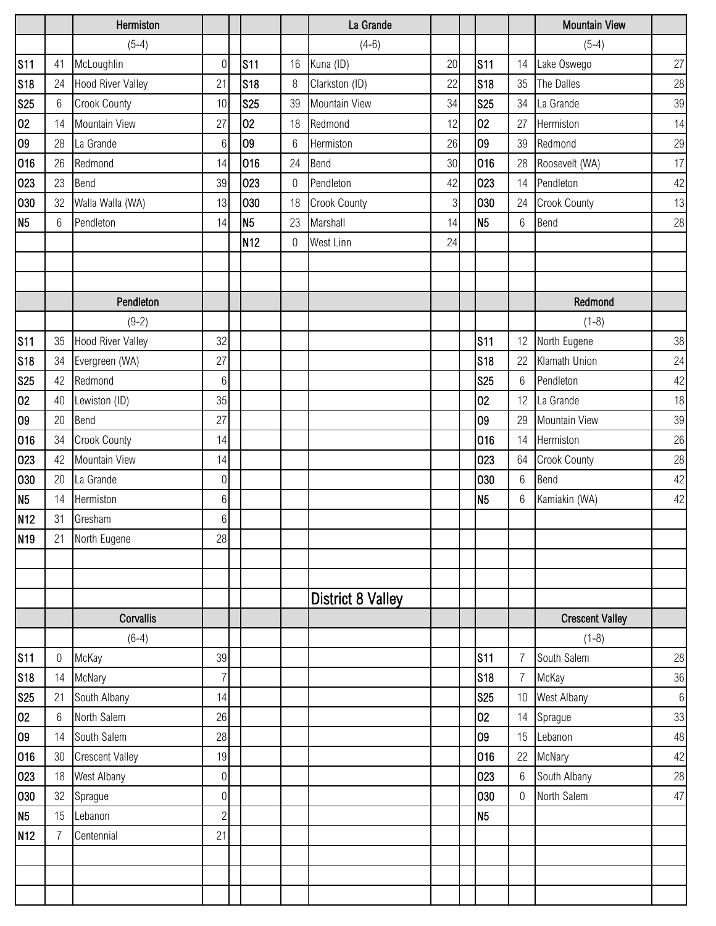|                 |                | Hermiston                |                  |                 |                  | La Grande                |            |                |                | <b>Mountain View</b>   |       |
|-----------------|----------------|--------------------------|------------------|-----------------|------------------|--------------------------|------------|----------------|----------------|------------------------|-------|
|                 |                | $(5-4)$                  |                  |                 |                  | $(4-6)$                  |            |                |                | $(5-4)$                |       |
| <b>S11</b>      | 41             | McLoughlin               | $\overline{0}$   | <b>S11</b>      | 16               | Kuna (ID)                | 20         | <b>S11</b>     | 14             | Lake Oswego            | 27    |
| <b>S18</b>      | 24             | <b>Hood River Valley</b> | 21               | <b>S18</b>      | 8                | Clarkston (ID)           | 22         | <b>S18</b>     | 35             | The Dalles             | 28    |
| <b>S25</b>      | 6              | Crook County             | 10               | <b>S25</b>      | 39               | Mountain View            | 34         | <b>S25</b>     | 34             | La Grande              | 39    |
| 02              | 14             | Mountain View            | 27               | 02              | 18               | Redmond                  | 12         | 02             | 27             | Hermiston              | 14    |
| 09              | 28             | La Grande                | $6\phantom{.}6$  | 09              | 6                | Hermiston                | 26         | 09             | 39             | Redmond                | 29    |
| 016             | 26             | Redmond                  | 14               | 016             | 24               | Bend                     | 30         | 016            | 28             | Roosevelt (WA)         | 17    |
| 023             | 23             | Bend                     | 39               | 023             | 0                | Pendleton                | 42         | 023            | 14             | Pendleton              | 42    |
| 030             | 32             | Walla Walla (WA)         | 13               | 030             | 18               | Crook County             | $\sqrt{3}$ | 030            | 24             | <b>Crook County</b>    | 13    |
| N <sub>5</sub>  | 6              | Pendleton                | 14               | N <sub>5</sub>  | 23               | Marshall                 | 14         | N <sub>5</sub> | $6\,$          | Bend                   | 28    |
|                 |                |                          |                  | N <sub>12</sub> | $\boldsymbol{0}$ | West Linn                | 24         |                |                |                        |       |
|                 |                |                          |                  |                 |                  |                          |            |                |                |                        |       |
|                 |                |                          |                  |                 |                  |                          |            |                |                |                        |       |
|                 |                | Pendleton                |                  |                 |                  |                          |            |                |                | Redmond                |       |
|                 |                | $(9-2)$                  |                  |                 |                  |                          |            |                |                | $(1-8)$                |       |
| <b>S11</b>      | 35             | <b>Hood River Valley</b> | 32               |                 |                  |                          |            | <b>S11</b>     | 12             | North Eugene           | 38    |
| <b>S18</b>      | 34             | Evergreen (WA)           | 27               |                 |                  |                          |            | <b>S18</b>     | 22             | Klamath Union          | 24    |
| <b>S25</b>      | 42             | Redmond                  | $6\,$            |                 |                  |                          |            | <b>S25</b>     | 6              | Pendleton              | 42    |
| 02              | 40             | Lewiston (ID)            | 35               |                 |                  |                          |            | 02             | 12             | La Grande              | 18    |
| 09              | 20             | Bend                     | 27               |                 |                  |                          |            | 09             | 29             | Mountain View          | 39    |
| 016             | 34             | <b>Crook County</b>      | 14               |                 |                  |                          |            | 016            | 14             | Hermiston              | 26    |
| 023             | 42             | Mountain View            | 14               |                 |                  |                          |            | 023            | 64             | <b>Crook County</b>    | 28    |
| 030             | 20             | La Grande                | $\overline{0}$   |                 |                  |                          |            | 030            | $6\,$          | Bend                   | 42    |
| N <sub>5</sub>  | 14             | Hermiston                | $6\,$            |                 |                  |                          |            | N <sub>5</sub> | $6\,$          | Kamiakin (WA)          | 42    |
| N <sub>12</sub> | 31             | Gresham                  | 6                |                 |                  |                          |            |                |                |                        |       |
| N <sub>19</sub> | 21             | North Eugene             | 28               |                 |                  |                          |            |                |                |                        |       |
|                 |                |                          |                  |                 |                  |                          |            |                |                |                        |       |
|                 |                |                          |                  |                 |                  |                          |            |                |                |                        |       |
|                 |                |                          |                  |                 |                  | <b>District 8 Valley</b> |            |                |                |                        |       |
|                 |                | Corvallis                |                  |                 |                  |                          |            |                |                | <b>Crescent Valley</b> |       |
|                 |                | $(6-4)$                  |                  |                 |                  |                          |            |                |                | $(1-8)$                |       |
| <b>S11</b>      | 0              | McKay                    | 39               |                 |                  |                          |            | <b>S11</b>     | 7              | South Salem            | 28    |
| <b>S18</b>      | 14             | McNary                   | $\overline{7}$   |                 |                  |                          |            | <b>S18</b>     | $\overline{7}$ | McKay                  | 36    |
| <b>S25</b>      | 21             | South Albany             | 14               |                 |                  |                          |            | <b>S25</b>     | 10             | West Albany            | $6\,$ |
| 02              | 6              | North Salem              | 26               |                 |                  |                          |            | 02             | 14             | Sprague                | 33    |
| 09              | 14             | South Salem              | 28               |                 |                  |                          |            | 09             | 15             | Lebanon                | 48    |
| 016             | 30             | <b>Crescent Valley</b>   | 19               |                 |                  |                          |            | 016            | 22             | McNary                 | 42    |
| 023             | 18             | West Albany              | $\boldsymbol{0}$ |                 |                  |                          |            | 023            | $6\,$          | South Albany           | 28    |
| 030             | 32             | Sprague                  | $\boldsymbol{0}$ |                 |                  |                          |            | 030            | $\overline{0}$ | North Salem            | 47    |
| N <sub>5</sub>  | 15             | Lebanon                  | $\overline{2}$   |                 |                  |                          |            | N <sub>5</sub> |                |                        |       |
| N <sub>12</sub> | $\overline{7}$ | Centennial               | 21               |                 |                  |                          |            |                |                |                        |       |
|                 |                |                          |                  |                 |                  |                          |            |                |                |                        |       |
|                 |                |                          |                  |                 |                  |                          |            |                |                |                        |       |
|                 |                |                          |                  |                 |                  |                          |            |                |                |                        |       |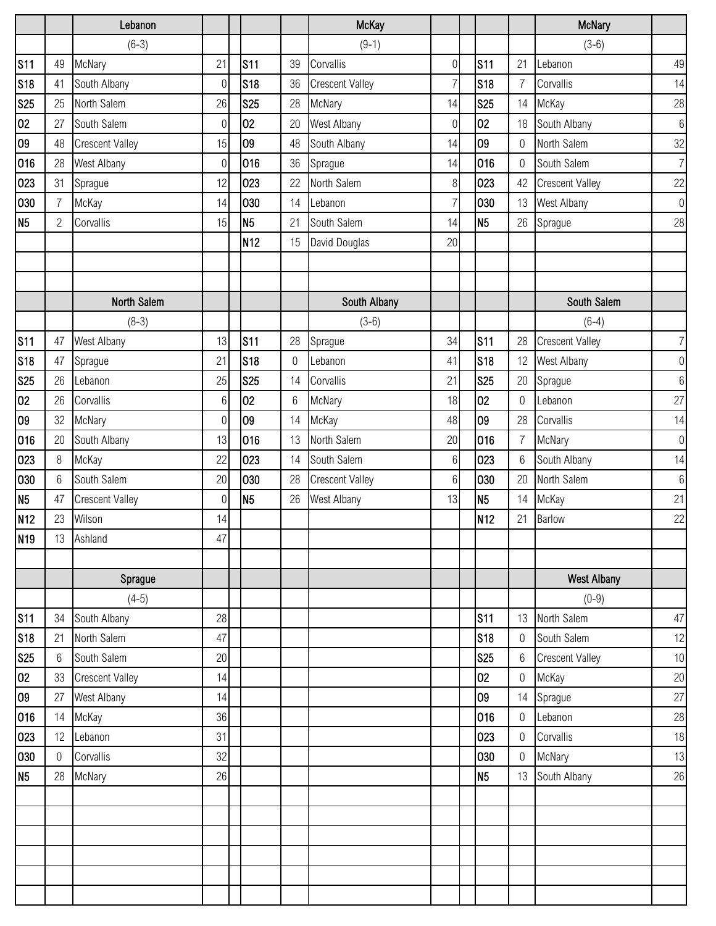|                 |                | Lebanon                |                 |                 |             | <b>McKay</b>           |                  |                 |                  | <b>McNary</b>          |                  |
|-----------------|----------------|------------------------|-----------------|-----------------|-------------|------------------------|------------------|-----------------|------------------|------------------------|------------------|
|                 |                | $(6-3)$                |                 |                 |             | $(9-1)$                |                  |                 |                  | $(3-6)$                |                  |
| <b>S11</b>      | 49             | McNary                 | 21              | <b>S11</b>      | 39          | Corvallis              | $\boldsymbol{0}$ | <b>S11</b>      | 21               | Lebanon                | 49               |
| <b>S18</b>      | 41             | South Albany           | $\overline{0}$  | <b>S18</b>      | 36          | <b>Crescent Valley</b> | 7                | <b>S18</b>      | $\overline{7}$   | Corvallis              | 14               |
| <b>S25</b>      | 25             | North Salem            | 26              | <b>S25</b>      | 28          | McNary                 | 14               | <b>S25</b>      | 14               | McKay                  | 28               |
| 02              | 27             | South Salem            | 0               | 02              | 20          | West Albany            | 0                | 02              | 18               | South Albany           | $\,6\,$          |
| 09              | 48             | <b>Crescent Valley</b> | 15              | 09              | 48          | South Albany           | 14               | 09              | $\mathbf 0$      | North Salem            | $32\,$           |
| 016             | 28             | West Albany            | $\mathbf 0$     | 016             | 36          | Sprague                | 14               | 016             | $\overline{0}$   | South Salem            | $\overline{7}$   |
| 023             | 31             | Sprague                | 12              | 023             | 22          | North Salem            | $8\,$            | 023             | 42               | <b>Crescent Valley</b> | 22               |
| 030             | $\overline{7}$ | McKay                  | 14              | 030             | 14          | Lebanon                | $\overline{7}$   | 030             | 13               | West Albany            | $\mathbf 0$      |
| N <sub>5</sub>  | $\overline{2}$ | Corvallis              | 15              | N <sub>5</sub>  | 21          | South Salem            | 14               | N <sub>5</sub>  | 26               | Sprague                | 28               |
|                 |                |                        |                 | N <sub>12</sub> | 15          | David Douglas          | 20               |                 |                  |                        |                  |
|                 |                |                        |                 |                 |             |                        |                  |                 |                  |                        |                  |
|                 |                |                        |                 |                 |             |                        |                  |                 |                  |                        |                  |
|                 |                | North Salem            |                 |                 |             | South Albany           |                  |                 |                  | South Salem            |                  |
|                 |                | $(8-3)$                |                 |                 |             | $(3-6)$                |                  |                 |                  | $(6-4)$                |                  |
| <b>S11</b>      | 47             | West Albany            | 13              | <b>S11</b>      | 28          | Sprague                | 34               | <b>S11</b>      | 28               | <b>Crescent Valley</b> | $\overline{7}$   |
| <b>S18</b>      | 47             | Sprague                | 21              | <b>S18</b>      | $\mathbf 0$ | Lebanon                | 41               | <b>S18</b>      | 12               | West Albany            | $\boldsymbol{0}$ |
| <b>S25</b>      | 26             | Lebanon                | 25              | <b>S25</b>      | 14          | Corvallis              | 21               | <b>S25</b>      | 20               | Sprague                | $6\,$            |
| 02              | 26             | Corvallis              | $6\phantom{.}6$ | 02              | 6           | McNary                 | 18               | 02              | $\mathbf 0$      | Lebanon                | 27               |
| 09              | 32             | McNary                 | $\overline{0}$  | 09              | 14          | McKay                  | 48               | 09              | 28               | Corvallis              | 14               |
| 016             | 20             | South Albany           | 13              | 016             | 13          | North Salem            | 20               | 016             | $\overline{7}$   | McNary                 | $\boldsymbol{0}$ |
| 023             | 8              | McKay                  | 22              | 023             | 14          | South Salem            | $6\,$            | 023             | $6\phantom{1}6$  | South Albany           | 14               |
| 030             | 6              | South Salem            | 20              | 030             | 28          | <b>Crescent Valley</b> | 6                | 030             | 20               | North Salem            | $6\,$            |
| N <sub>5</sub>  | 47             | <b>Crescent Valley</b> | $\overline{0}$  | N <sub>5</sub>  | 26          | West Albany            | 13               | N <sub>5</sub>  | 14               | McKay                  | 21               |
| N <sub>12</sub> | 23             | Wilson                 | 14              |                 |             |                        |                  | N <sub>12</sub> | 21               | <b>Barlow</b>          | 22               |
| N <sub>19</sub> | 13             | Ashland                | 47              |                 |             |                        |                  |                 |                  |                        |                  |
|                 |                |                        |                 |                 |             |                        |                  |                 |                  |                        |                  |
|                 |                | Sprague                |                 |                 |             |                        |                  |                 |                  | <b>West Albany</b>     |                  |
|                 |                | $(4-5)$                |                 |                 |             |                        |                  |                 |                  | $(0-9)$                |                  |
| <b>S11</b>      | 34             | South Albany           | 28              |                 |             |                        |                  | <b>S11</b>      | 13               | North Salem            | 47               |
| <b>S18</b>      | 21             | North Salem            | 47              |                 |             |                        |                  | <b>S18</b>      | $\overline{0}$   | South Salem            | 12               |
| <b>S25</b>      | 6              | South Salem            | 20              |                 |             |                        |                  | <b>S25</b>      | $6\,$            | <b>Crescent Valley</b> | 10               |
| 02              | 33             | <b>Crescent Valley</b> | 14              |                 |             |                        |                  | 02              | $\mathbf 0$      | McKay                  | 20               |
| 09              | 27             | West Albany            | 14              |                 |             |                        |                  | 09              | 14               | Sprague                | 27               |
| 016             | 14             | McKay                  | 36              |                 |             |                        |                  | 016             | 0                | Lebanon                | 28               |
| 023             | 12             | Lebanon                | 31              |                 |             |                        |                  | 023             | $\boldsymbol{0}$ | Corvallis              | 18               |
| 030             | $\Omega$       | Corvallis              | 32              |                 |             |                        |                  | 030             | $\boldsymbol{0}$ | McNary                 | 13               |
| N <sub>5</sub>  | 28             | McNary                 | 26              |                 |             |                        |                  | N <sub>5</sub>  | 13               | South Albany           | 26               |
|                 |                |                        |                 |                 |             |                        |                  |                 |                  |                        |                  |
|                 |                |                        |                 |                 |             |                        |                  |                 |                  |                        |                  |
|                 |                |                        |                 |                 |             |                        |                  |                 |                  |                        |                  |
|                 |                |                        |                 |                 |             |                        |                  |                 |                  |                        |                  |
|                 |                |                        |                 |                 |             |                        |                  |                 |                  |                        |                  |
|                 |                |                        |                 |                 |             |                        |                  |                 |                  |                        |                  |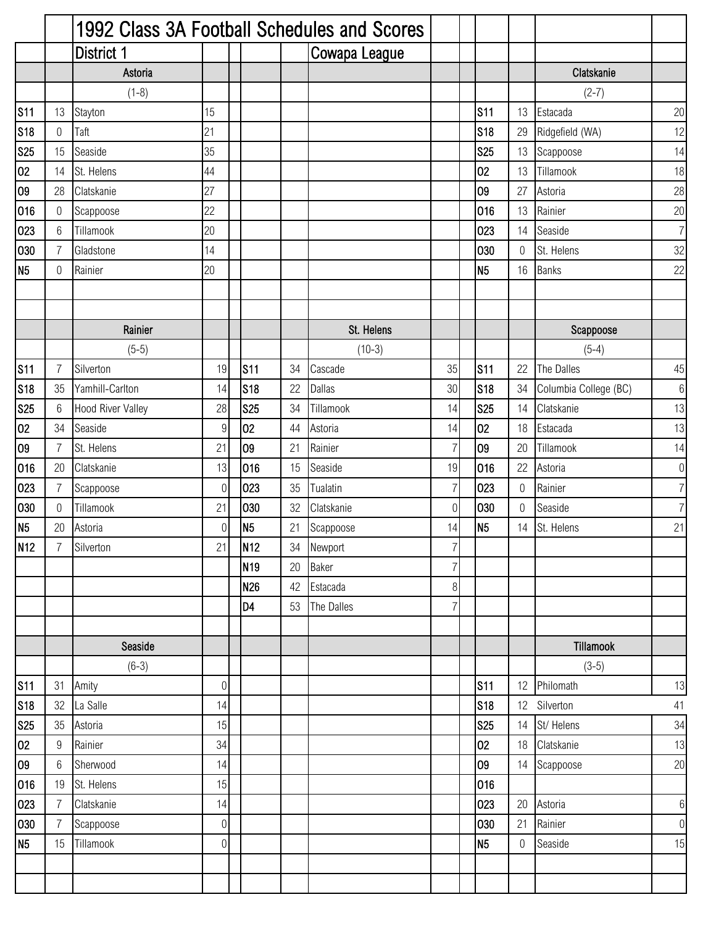|                 |                | 1992 Class 3A Football Schedules and Scores |                  |    |                 |    |               |                |                |                  |                       |                |
|-----------------|----------------|---------------------------------------------|------------------|----|-----------------|----|---------------|----------------|----------------|------------------|-----------------------|----------------|
|                 |                | District 1                                  |                  |    |                 |    | Cowapa League |                |                |                  |                       |                |
|                 |                | Astoria                                     |                  |    |                 |    |               |                |                |                  | Clatskanie            |                |
|                 |                | $(1-8)$                                     |                  |    |                 |    |               |                |                |                  | $(2-7)$               |                |
| <b>S11</b>      | 13             | Stayton                                     | 15               |    |                 |    |               |                | <b>S11</b>     | 13               | Estacada              | 20             |
| <b>S18</b>      | $\mathbf 0$    | Taft                                        | 21               |    |                 |    |               |                | <b>S18</b>     | 29               | Ridgefield (WA)       | 12             |
| <b>S25</b>      | 15             | Seaside                                     | 35               |    |                 |    |               |                | <b>S25</b>     | 13               | Scappoose             | 14             |
| 02              | 14             | St. Helens                                  | 44               |    |                 |    |               |                | 02             | 13               | Tillamook             | 18             |
| 09              | 28             | Clatskanie                                  | 27               |    |                 |    |               |                | 09             | 27               | Astoria               | 28             |
| 016             | $\mathbf 0$    | Scappoose                                   | 22               |    |                 |    |               |                | 016            | 13               | Rainier               | 20             |
| 023             | 6              | Tillamook                                   | 20               |    |                 |    |               |                | 023            | 14               | Seaside               | $\overline{7}$ |
| 030             | $\overline{7}$ | Gladstone                                   | 14               |    |                 |    |               |                | 030            | $\mathbf 0$      | St. Helens            | 32             |
| N <sub>5</sub>  | 0              | Rainier                                     | 20               |    |                 |    |               |                | N <sub>5</sub> | 16               | <b>Banks</b>          | 22             |
|                 |                |                                             |                  |    |                 |    |               |                |                |                  |                       |                |
|                 |                |                                             |                  |    |                 |    |               |                |                |                  |                       |                |
|                 |                | Rainier                                     |                  |    |                 |    | St. Helens    |                |                |                  | Scappoose             |                |
|                 |                | $(5-5)$                                     |                  |    |                 |    | $(10-3)$      |                |                |                  | $(5-4)$               |                |
| <b>S11</b>      | 7              | Silverton                                   | 19               |    | <b>S11</b>      | 34 | Cascade       | 35             | <b>S11</b>     | 22               | The Dalles            | 45             |
| <b>S18</b>      | 35             | Yamhill-Carlton                             | 14               |    | S <sub>18</sub> | 22 | <b>Dallas</b> | 30             | <b>S18</b>     | 34               | Columbia College (BC) | $6 \,$         |
| <b>S25</b>      | 6              | Hood River Valley                           | 28               |    | <b>S25</b>      | 34 | Tillamook     | 14             | <b>S25</b>     | 14               | Clatskanie            | 13             |
| 02              | 34             | Seaside                                     | $9\,$            |    | 02              | 44 | Astoria       | 14             | 02             | 18               | Estacada              | 13             |
| 09              | $\overline{7}$ | St. Helens                                  | 21               | 09 |                 | 21 | Rainier       | 7              | 09             | 20               | Tillamook             | 14             |
| 016             | 20             | Clatskanie                                  | 13               |    | 016             | 15 | Seaside       | 19             | 016            | 22               | Astoria               | $\overline{0}$ |
| 023             | $\overline{7}$ | Scappoose                                   | 0                |    | 023             | 35 | Tualatin      | 7              | 023            | $\boldsymbol{0}$ | Rainier               | $\overline{7}$ |
| 030             | 0              | Tillamook                                   | 21               |    | 030             | 32 | Clatskanie    | 0              | 030            | $\boldsymbol{0}$ | Seaside               | $\overline{7}$ |
| N <sub>5</sub>  | 20             | Astoria                                     | $\mathbf 0$      | N5 |                 | 21 | Scappoose     | 14             | N <sub>5</sub> | 14               | St. Helens            | 21             |
| N <sub>12</sub> | 7              | Silverton                                   | 21               |    | N <sub>12</sub> | 34 | Newport       | $\overline{7}$ |                |                  |                       |                |
|                 |                |                                             |                  |    | N <sub>19</sub> | 20 | <b>Baker</b>  | 7              |                |                  |                       |                |
|                 |                |                                             |                  |    | N <sub>26</sub> | 42 | Estacada      | 8              |                |                  |                       |                |
|                 |                |                                             |                  |    | D <sub>4</sub>  | 53 | The Dalles    | 7              |                |                  |                       |                |
|                 |                |                                             |                  |    |                 |    |               |                |                |                  |                       |                |
|                 |                | Seaside                                     |                  |    |                 |    |               |                |                |                  | Tillamook             |                |
|                 |                | $(6-3)$                                     |                  |    |                 |    |               |                |                |                  | $(3-5)$               |                |
| <b>S11</b>      | 31             | Amity                                       | $\boldsymbol{0}$ |    |                 |    |               |                | <b>S11</b>     | 12               | Philomath             | 13             |
| <b>S18</b>      | 32             | La Salle                                    | 14               |    |                 |    |               |                | <b>S18</b>     | 12               | Silverton             | 41             |
| <b>S25</b>      | 35             | Astoria                                     | 15               |    |                 |    |               |                | <b>S25</b>     | 14               | St/ Helens            | 34             |
| 02              | 9              | Rainier                                     | 34               |    |                 |    |               |                | 02             | 18               | Clatskanie            | 13             |
| 09              | 6              | Sherwood                                    | 14               |    |                 |    |               |                | 09             | 14               | Scappoose             | 20             |
| 016             | 19             | St. Helens                                  | 15               |    |                 |    |               |                | 016            |                  |                       |                |
| 023             | $\overline{7}$ | Clatskanie                                  | 14               |    |                 |    |               |                | 023            | 20               | Astoria               | $6\,$          |
| 030             | $\overline{7}$ | Scappoose                                   | $\boldsymbol{0}$ |    |                 |    |               |                | 030            | 21               | Rainier               | $\overline{0}$ |
| N <sub>5</sub>  | 15             | Tillamook                                   | $\mathbf 0$      |    |                 |    |               |                | N <sub>5</sub> | $\boldsymbol{0}$ | Seaside               | 15             |
|                 |                |                                             |                  |    |                 |    |               |                |                |                  |                       |                |
|                 |                |                                             |                  |    |                 |    |               |                |                |                  |                       |                |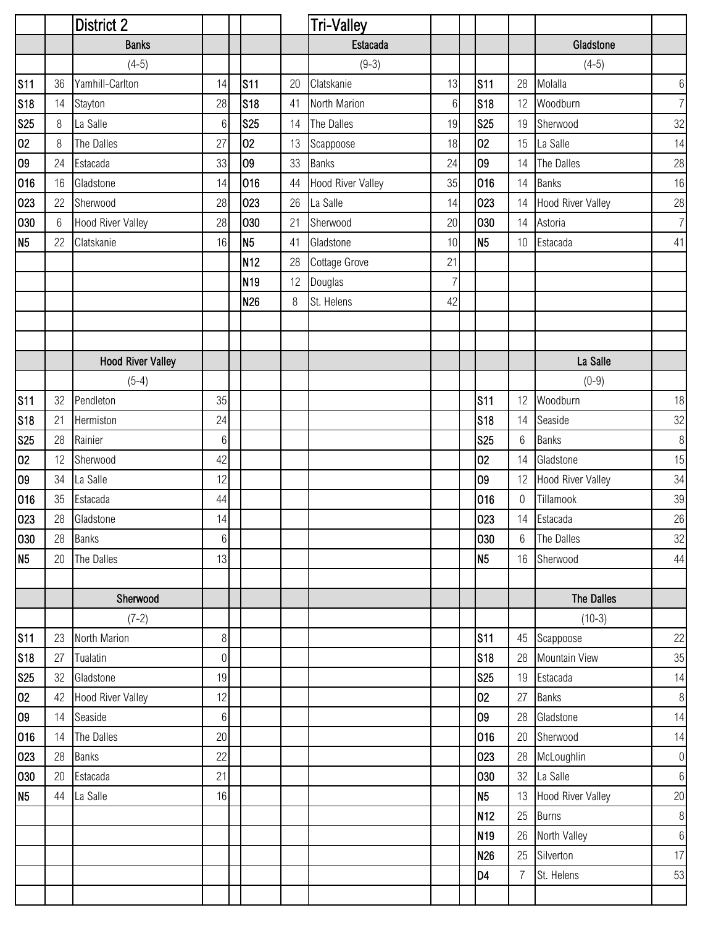|                |    | <b>District 2</b>        |                 |                 |    | <b>Tri-Valley</b> |                |                 |                  |                          |                  |
|----------------|----|--------------------------|-----------------|-----------------|----|-------------------|----------------|-----------------|------------------|--------------------------|------------------|
|                |    | <b>Banks</b>             |                 |                 |    | Estacada          |                |                 |                  | Gladstone                |                  |
|                |    | $(4-5)$                  |                 |                 |    | $(9-3)$           |                |                 |                  | $(4-5)$                  |                  |
| <b>S11</b>     | 36 | Yamhill-Carlton          | 14              | S <sub>11</sub> | 20 | Clatskanie        | 13             | <b>S11</b>      | 28               | Molalla                  | $6\,$            |
| <b>S18</b>     | 14 | Stayton                  | 28              | s <sub>18</sub> | 41 | North Marion      | $6\phantom{1}$ | <b>S18</b>      | 12               | Woodburn                 | $\overline{7}$   |
| <b>S25</b>     | 8  | La Salle                 | $6\phantom{.}6$ | <b>S25</b>      | 14 | The Dalles        | 19             | <b>S25</b>      | 19               | Sherwood                 | 32               |
| 02             | 8  | The Dalles               | 27              | 02              | 13 | Scappoose         | 18             | 02              | 15               | La Salle                 | 14               |
| 09             | 24 | Estacada                 | 33              | 09              | 33 | <b>Banks</b>      | 24             | 09              | 14               | The Dalles               | 28               |
| 016            | 16 | Gladstone                | 14              | 016             | 44 | Hood River Valley | 35             | 016             | 14               | <b>Banks</b>             | 16               |
| 023            | 22 | Sherwood                 | 28              | 023             | 26 | La Salle          | 14             | 023             | 14               | <b>Hood River Valley</b> | 28               |
| 030            | 6  | <b>Hood River Valley</b> | 28              | 030             | 21 | Sherwood          | 20             | 030             | 14               | Astoria                  | $\overline{7}$   |
| N <sub>5</sub> | 22 | Clatskanie               | 16              | N <sub>5</sub>  | 41 | Gladstone         | 10             | N <sub>5</sub>  | 10               | Estacada                 | 41               |
|                |    |                          |                 | N <sub>12</sub> | 28 | Cottage Grove     | 21             |                 |                  |                          |                  |
|                |    |                          |                 | N <sub>19</sub> | 12 | Douglas           | $\overline{7}$ |                 |                  |                          |                  |
|                |    |                          |                 | N <sub>26</sub> | 8  | St. Helens        | 42             |                 |                  |                          |                  |
|                |    |                          |                 |                 |    |                   |                |                 |                  |                          |                  |
|                |    |                          |                 |                 |    |                   |                |                 |                  |                          |                  |
|                |    | <b>Hood River Valley</b> |                 |                 |    |                   |                |                 |                  | La Salle                 |                  |
|                |    | $(5-4)$                  |                 |                 |    |                   |                |                 |                  | $(0-9)$                  |                  |
| <b>S11</b>     | 32 | Pendleton                | 35              |                 |    |                   |                | <b>S11</b>      | 12               | Woodburn                 | 18               |
| <b>S18</b>     | 21 | Hermiston                | 24              |                 |    |                   |                | <b>S18</b>      | 14               | Seaside                  | 32               |
| <b>S25</b>     | 28 | Rainier                  | $6\phantom{.}6$ |                 |    |                   |                | <b>S25</b>      | $6\,$            | <b>Banks</b>             | $\,8\,$          |
| 02             | 12 | Sherwood                 | 42              |                 |    |                   |                | 02              | 14               | Gladstone                | 15               |
| 09             | 34 | La Salle                 | 12              |                 |    |                   |                | 09              | 12               | <b>Hood River Valley</b> | 34               |
| 016            | 35 | Estacada                 | 44              |                 |    |                   |                | 016             | $\boldsymbol{0}$ | Tillamook                | 39               |
| 023            | 28 | Gladstone                | 14              |                 |    |                   |                | 023             | 14               | Estacada                 | 26               |
| 030            | 28 | <b>Banks</b>             | $6 \mid$        |                 |    |                   |                | 030             | $6\overline{6}$  | The Dalles               | 32               |
| N <sub>5</sub> | 20 | The Dalles               | 13              |                 |    |                   |                | N <sub>5</sub>  | 16               | Sherwood                 | 44               |
|                |    |                          |                 |                 |    |                   |                |                 |                  |                          |                  |
|                |    | Sherwood                 |                 |                 |    |                   |                |                 |                  | The Dalles               |                  |
|                |    | $(7-2)$                  |                 |                 |    |                   |                |                 |                  | $(10-3)$                 |                  |
| <b>S11</b>     | 23 | North Marion             | 8               |                 |    |                   |                | <b>S11</b>      | 45               | Scappoose                | 22               |
| <b>S18</b>     | 27 | Tualatin                 | $\overline{0}$  |                 |    |                   |                | <b>S18</b>      | 28               | Mountain View            | 35               |
| <b>S25</b>     | 32 | Gladstone                | 19              |                 |    |                   |                | <b>S25</b>      | 19               | Estacada                 | 14               |
| 02             | 42 | <b>Hood River Valley</b> | 12              |                 |    |                   |                | 02              | 27               | <b>Banks</b>             | $\,8\,$          |
| 09             | 14 | Seaside                  | $6\phantom{a}$  |                 |    |                   |                | 09              | 28               | Gladstone                | 14               |
| 016            | 14 | The Dalles               | 20              |                 |    |                   |                | 016             | 20               | Sherwood                 | 14               |
| 023            | 28 | <b>Banks</b>             | 22              |                 |    |                   |                | 023             | 28               | McLoughlin               | $\boldsymbol{0}$ |
| 030            | 20 | Estacada                 | 21              |                 |    |                   |                | 030             | 32               | La Salle                 | $\,6\,$          |
| N <sub>5</sub> | 44 | La Salle                 | 16              |                 |    |                   |                | <b>N5</b>       | 13               | <b>Hood River Valley</b> | 20               |
|                |    |                          |                 |                 |    |                   |                | N <sub>12</sub> | 25               | <b>Burns</b>             | $\,8\,$          |
|                |    |                          |                 |                 |    |                   |                | N <sub>19</sub> | 26               | North Valley             | $\,6\,$          |
|                |    |                          |                 |                 |    |                   |                | <b>N26</b>      | 25               | Silverton                | 17               |
|                |    |                          |                 |                 |    |                   |                | D <sub>4</sub>  | $\overline{7}$   | St. Helens               | 53               |
|                |    |                          |                 |                 |    |                   |                |                 |                  |                          |                  |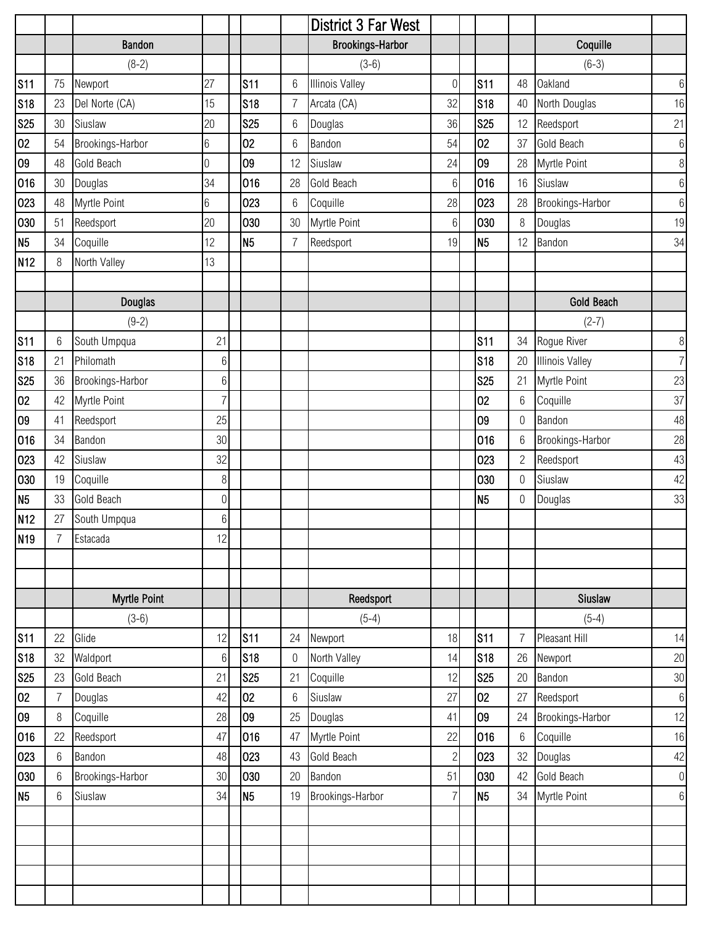|                  |                |                        |                |                          |         | District 3 Far West      |                |                          |                 |                        |                   |
|------------------|----------------|------------------------|----------------|--------------------------|---------|--------------------------|----------------|--------------------------|-----------------|------------------------|-------------------|
|                  |                | Bandon                 |                |                          |         | <b>Brookings-Harbor</b>  |                |                          |                 | Coquille               |                   |
|                  |                | $(8-2)$                |                |                          |         | $(3-6)$                  |                |                          |                 | $(6-3)$                |                   |
| <b>S11</b>       | 75             | Newport                | 27             | <b>S11</b>               | 6       | <b>Illinois Valley</b>   | $\mathbf 0$    | <b>S11</b>               | 48              | <b>Oakland</b>         | $\,6\,$           |
| <b>S18</b>       | 23             | Del Norte (CA)         | 15             | <b>S18</b>               | 7       | Arcata (CA)              | 32             | <b>S18</b>               | 40              | North Douglas          | 16                |
| <b>S25</b>       | 30             | Siuslaw                | 20             | <b>S25</b>               | 6       | Douglas                  | 36             | <b>S25</b>               | 12              | Reedsport              | 21                |
| 02               | 54             | Brookings-Harbor       | $6\,$          | 02                       | 6       | Bandon                   | 54             | 02                       | 37              | <b>Gold Beach</b>      | $6\,$             |
| 09               | 48             | Gold Beach             | $\mathbf 0$    | 09                       | 12      | Siuslaw                  | 24             | 09                       | 28              | Myrtle Point           | $\, 8$            |
| 016              | $30\,$         | Douglas                | 34             | 016                      | 28      | Gold Beach               | $6\,$          | 016                      | 16              | Siuslaw                | $6\,$             |
| 023              | 48             | Myrtle Point           | $6\,$          | 023                      | 6       | Coquille                 | 28             | 023                      | 28              | Brookings-Harbor       | $6\,$             |
| 030              | 51             | Reedsport              | 20             | 030                      | 30      | Myrtle Point             | 6              | 030                      | 8               | Douglas                | 19                |
| N <sub>5</sub>   | 34             | Coquille               | 12             | N <sub>5</sub>           | 7       | Reedsport                | 19             | N <sub>5</sub>           | 12              | Bandon                 | 34                |
| N <sub>12</sub>  | 8              | North Valley           | 13             |                          |         |                          |                |                          |                 |                        |                   |
|                  |                |                        |                |                          |         |                          |                |                          |                 |                        |                   |
|                  |                | <b>Douglas</b>         |                |                          |         |                          |                |                          |                 | Gold Beach             |                   |
|                  |                | $(9-2)$                |                |                          |         |                          |                |                          |                 | $(2-7)$                |                   |
| <b>S11</b>       | 6              | South Umpqua           | 21             |                          |         |                          |                | <b>S11</b>               | 34              | Rogue River            | $\, 8$            |
| <b>S18</b>       | 21             | Philomath              | 6              |                          |         |                          |                | <b>S18</b>               | 20              | <b>Illinois Valley</b> | $\overline{7}$    |
| <b>S25</b>       | 36             | Brookings-Harbor       | 6              |                          |         |                          |                | <b>S25</b>               | 21              | Myrtle Point           | 23                |
| 02               | 42             | Myrtle Point           | $\overline{7}$ |                          |         |                          |                | 02                       | $6\,$           | Coquille               | 37                |
| 09               | 41             | Reedsport              | 25             |                          |         |                          |                | 09                       | $\mathbf 0$     | Bandon                 | 48                |
| 016              | 34             | Bandon                 | 30             |                          |         |                          |                | 016                      | $6\phantom{.}6$ | Brookings-Harbor       | 28                |
| 023              | 42             | Siuslaw                | 32             |                          |         |                          |                | 023                      | $\overline{c}$  | Reedsport              | 43                |
| 030              | 19             | Coquille               | 8              |                          |         |                          |                | 030                      | 0               | Siuslaw                | 42                |
| N <sub>5</sub>   | 33             | Gold Beach             | $\overline{0}$ |                          |         |                          |                | N <sub>5</sub>           | 0               | Douglas                | 33                |
| N <sub>12</sub>  | 27             | South Umpqua           | $6\,$          |                          |         |                          |                |                          |                 |                        |                   |
| N <sub>19</sub>  | $\overline{7}$ | Estacada               | 12             |                          |         |                          |                |                          |                 |                        |                   |
|                  |                |                        |                |                          |         |                          |                |                          |                 |                        |                   |
|                  |                |                        |                |                          |         |                          |                |                          |                 |                        |                   |
|                  |                | Myrtle Point           |                |                          |         | Reedsport                |                |                          |                 | Siuslaw                |                   |
|                  |                | $(3-6)$                |                |                          |         | $(5-4)$                  |                |                          |                 | $(5-4)$                |                   |
| S <sub>11</sub>  | 22             | Glide                  | 12             | S <sub>11</sub>          | 24      | Newport                  | 18             | <b>S11</b>               | $\overline{7}$  | Pleasant Hill          | 14                |
| <b>S18</b>       | 32<br>23       | Waldport<br>Gold Beach | $6\,$<br>21    | <b>S18</b><br><b>S25</b> | 0<br>21 | North Valley<br>Coquille | 14<br>12       | <b>S18</b><br><b>S25</b> | 26<br>20        | Newport<br>Bandon      | 20                |
| <b>S25</b><br>02 | 7              | Douglas                | 42             | 02                       | 6       | Siuslaw                  | 27             | 02                       | 27              | Reedsport              | $30\,$<br>$\,6\,$ |
| 09               | 8              | Coquille               | 28             | 09                       | 25      | Douglas                  | 41             | 09                       | 24              | Brookings-Harbor       | 12                |
| 016              | 22             | Reedsport              | 47             | 016                      | 47      | Myrtle Point             | 22             | 016                      | $6\,$           | Coquille               | 16                |
| 023              | 6              | Bandon                 | 48             | 023                      | 43      | Gold Beach               | $\overline{c}$ | 023                      | 32              | Douglas                | $42\,$            |
| 030              | 6              | Brookings-Harbor       | 30             | 030                      | 20      | Bandon                   | 51             | 030                      | 42              | Gold Beach             | $\boldsymbol{0}$  |
| N <sub>5</sub>   | 6              | Siuslaw                | 34             | N <sub>5</sub>           | 19      | Brookings-Harbor         | 7              | N <sub>5</sub>           | 34              | Myrtle Point           | $6\,$             |
|                  |                |                        |                |                          |         |                          |                |                          |                 |                        |                   |
|                  |                |                        |                |                          |         |                          |                |                          |                 |                        |                   |
|                  |                |                        |                |                          |         |                          |                |                          |                 |                        |                   |
|                  |                |                        |                |                          |         |                          |                |                          |                 |                        |                   |
|                  |                |                        |                |                          |         |                          |                |                          |                 |                        |                   |
|                  |                |                        |                |                          |         |                          |                |                          |                 |                        |                   |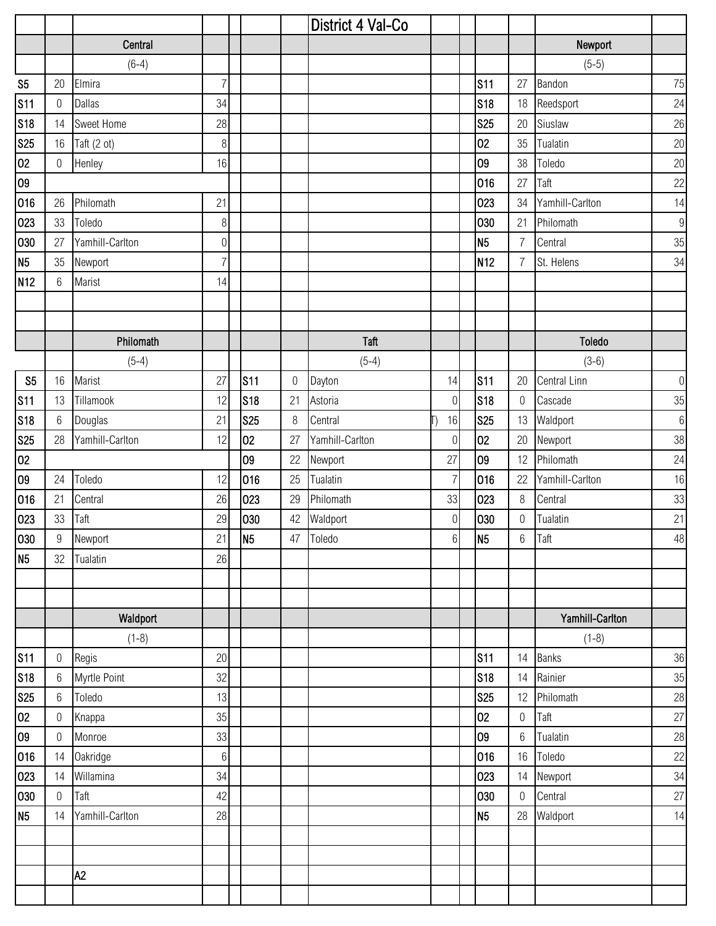|                 |                  |                 |                  |                |                  | District 4 Val-Co |                  |                 |                  |                 |                  |
|-----------------|------------------|-----------------|------------------|----------------|------------------|-------------------|------------------|-----------------|------------------|-----------------|------------------|
|                 |                  | Central         |                  |                |                  |                   |                  |                 |                  | Newport         |                  |
|                 |                  | $(6-4)$         |                  |                |                  |                   |                  |                 |                  | $(5-5)$         |                  |
| S <sub>5</sub>  | 20               | Elmira          | 7                |                |                  |                   |                  | <b>S11</b>      | 27               | Bandon          | 75               |
| S11             | 0                | Dallas          | 34               |                |                  |                   |                  | <b>S18</b>      | 18               | Reedsport       | 24               |
| <b>S18</b>      | 14               | Sweet Home      | 28               |                |                  |                   |                  | <b>S25</b>      | 20               | Siuslaw         | 26               |
| <b>S25</b>      | 16               | Taft (2 ot)     | $\,8\,$          |                |                  |                   |                  | 02              | 35               | Tualatin        | $20\,$           |
| 02              | $\boldsymbol{0}$ | Henley          | 16               |                |                  |                   |                  | 09              | 38               | Toledo          | 20               |
| 09              |                  |                 |                  |                |                  |                   |                  | 016             | 27               | Taft            | 22               |
| 016             | 26               | Philomath       | 21               |                |                  |                   |                  | 023             | 34               | Yamhill-Carlton | 14               |
| 023             | 33               | Toledo          | $\, 8$           |                |                  |                   |                  | 030             | 21               | Philomath       | $9\,$            |
| 030             | 27               | Yamhill-Carlton | $\boldsymbol{0}$ |                |                  |                   |                  | N <sub>5</sub>  | $\overline{7}$   | Central         | 35               |
| N <sub>5</sub>  | 35               | Newport         | $\overline{7}$   |                |                  |                   |                  | N <sub>12</sub> | $\overline{7}$   | St. Helens      | 34               |
| N <sub>12</sub> | 6                | Marist          | 14               |                |                  |                   |                  |                 |                  |                 |                  |
|                 |                  |                 |                  |                |                  |                   |                  |                 |                  |                 |                  |
|                 |                  |                 |                  |                |                  |                   |                  |                 |                  |                 |                  |
|                 |                  | Philomath       |                  |                |                  | Taft              |                  |                 |                  | Toledo          |                  |
|                 |                  | $(5-4)$         |                  |                |                  | $(5-4)$           |                  |                 |                  | $(3-6)$         |                  |
| S <sub>5</sub>  | 16               | Marist          | 27               | <b>S11</b>     | $\boldsymbol{0}$ | Dayton            | 14               | <b>S11</b>      | 20               | Central Linn    | $\boldsymbol{0}$ |
| <b>S11</b>      | 13               | Tillamook       | 12               | <b>S18</b>     | 21               | Astoria           | $\overline{0}$   | <b>S18</b>      | $\boldsymbol{0}$ | Cascade         | 35               |
| <b>S18</b>      | 6                | Douglas         | 21               | <b>S25</b>     | 8                | Central           | 16               | <b>S25</b>      | 13               | Waldport        | $6\,$            |
| <b>S25</b>      | 28               | Yamhill-Carlton | 12               | 02             | 27               | Yamhill-Carlton   | $\boldsymbol{0}$ | 02              | 20               | Newport         | 38               |
| 02              |                  |                 |                  | 09             | 22               | Newport           | 27               | 09              | 12               | Philomath       | 24               |
| 09              | 24               | Toledo          | 12               | 016            | 25               | Tualatin          | $\overline{7}$   | 016             | 22               | Yamhill-Carlton | 16               |
| 016             | 21               | Central         | 26               | 023            | 29               | Philomath         | 33               | 023             | $\,8\,$          | Central         | 33               |
| 023             | 33               | Taft            | 29               | 030            | 42               | Waldport          | $\mathbf 0$      | 030             | $\boldsymbol{0}$ | Tualatin        | 21               |
| 030             | 9                | Newport         | 21               | N <sub>5</sub> |                  | 47 Toledo         | 6 <sup>1</sup>   | N <sub>5</sub>  | $6\,$            | Taft            | $48\,$           |
| N <sub>5</sub>  | 32               | Tualatin        | 26               |                |                  |                   |                  |                 |                  |                 |                  |
|                 |                  |                 |                  |                |                  |                   |                  |                 |                  |                 |                  |
|                 |                  |                 |                  |                |                  |                   |                  |                 |                  |                 |                  |
|                 |                  | Waldport        |                  |                |                  |                   |                  |                 |                  | Yamhill-Carlton |                  |
|                 |                  | $(1-8)$         |                  |                |                  |                   |                  |                 |                  | $(1-8)$         |                  |
| <b>S11</b>      | 0                | Regis           | 20               |                |                  |                   |                  | <b>S11</b>      | 14               | <b>Banks</b>    | 36               |
| <b>S18</b>      | 6                | Myrtle Point    | 32               |                |                  |                   |                  | <b>S18</b>      | 14               | Rainier         | $35\,$           |
| <b>S25</b>      | 6                | Toledo          | 13               |                |                  |                   |                  | <b>S25</b>      | 12               | Philomath       | 28               |
| 02              | $\mathbf 0$      | Knappa          | 35               |                |                  |                   |                  | 02              | $\boldsymbol{0}$ | Taft            | $27\,$           |
| 09              | $\mathbf 0$      | Monroe          | 33               |                |                  |                   |                  | 09              | $6\,$            | Tualatin        | 28               |
| 016             | 14               | <b>Oakridge</b> | $6\,$            |                |                  |                   |                  | 016             | 16               | Toledo          | 22               |
| 023             | 14               | Willamina       | 34               |                |                  |                   |                  | 023             | 14               | Newport         | 34               |
| 030             | $\mathbf 0$      | Taft            | 42               |                |                  |                   |                  | 030             | $\boldsymbol{0}$ | Central         | 27               |
| N <sub>5</sub>  | 14               | Yamhill-Carlton | 28               |                |                  |                   |                  | N <sub>5</sub>  | 28               | Waldport        | 14               |
|                 |                  |                 |                  |                |                  |                   |                  |                 |                  |                 |                  |
|                 |                  |                 |                  |                |                  |                   |                  |                 |                  |                 |                  |
|                 |                  | A2              |                  |                |                  |                   |                  |                 |                  |                 |                  |
|                 |                  |                 |                  |                |                  |                   |                  |                 |                  |                 |                  |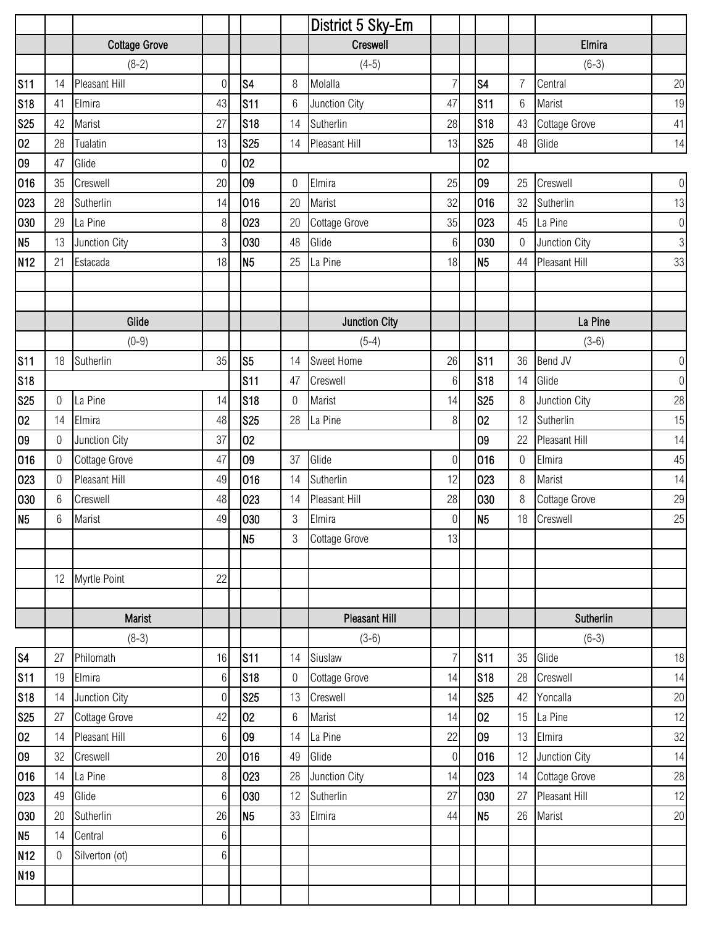|                 |                  |                      |                  |                |                  | District 5 Sky-Em    |                  |                |                  |                      |                  |
|-----------------|------------------|----------------------|------------------|----------------|------------------|----------------------|------------------|----------------|------------------|----------------------|------------------|
|                 |                  | <b>Cottage Grove</b> |                  |                |                  | Creswell             |                  |                |                  | Elmira               |                  |
|                 |                  | $(8-2)$              |                  |                |                  | $(4-5)$              |                  |                |                  | $(6-3)$              |                  |
| <b>S11</b>      | 14               | Pleasant Hill        | $\boldsymbol{0}$ | S <sub>4</sub> | 8                | Molalla              | 7                | S <sub>4</sub> | $\overline{7}$   | Central              | 20               |
| <b>S18</b>      | 41               | Elmira               | 43               | <b>S11</b>     | $6\,$            | Junction City        | 47               | <b>S11</b>     | $6\phantom{1}$   | Marist               | 19               |
| <b>S25</b>      | 42               | Marist               | 27               | <b>S18</b>     | 14               | Sutherlin            | 28               | <b>S18</b>     | 43               | Cottage Grove        | 41               |
| 02              | 28               | Tualatin             | 13               | <b>S25</b>     | 14               | <b>Pleasant Hill</b> | 13               | <b>S25</b>     | 48               | Glide                | 14               |
| 09              | 47               | Glide                | $\overline{0}$   | 02             |                  |                      |                  | 02             |                  |                      |                  |
| 016             | 35               | Creswell             | 20               | 09             | $\boldsymbol{0}$ | Elmira               | 25               | 09             | 25               | Creswell             | $\boldsymbol{0}$ |
| 023             | 28               | Sutherlin            | 14               | 016            | 20               | Marist               | 32               | 016            | 32               | Sutherlin            | 13               |
| 030             | 29               | La Pine              | 8 <sup>1</sup>   | 023            | 20               | Cottage Grove        | 35               | 023            | 45               | La Pine              | $\boldsymbol{0}$ |
| N <sub>5</sub>  | 13               | Junction City        | $\overline{3}$   | 030            | 48               | Glide                | $6\,$            | 030            | $\boldsymbol{0}$ | Junction City        | $\mathfrak{S}$   |
| N <sub>12</sub> | 21               | Estacada             | 18               | N <sub>5</sub> | 25               | La Pine              | 18               | N <sub>5</sub> | 44               | <b>Pleasant Hill</b> | 33               |
|                 |                  |                      |                  |                |                  |                      |                  |                |                  |                      |                  |
|                 |                  |                      |                  |                |                  |                      |                  |                |                  |                      |                  |
|                 |                  | Glide                |                  |                |                  | <b>Junction City</b> |                  |                |                  | La Pine              |                  |
|                 |                  | $(0-9)$              |                  |                |                  | $(5-4)$              |                  |                |                  | $(3-6)$              |                  |
| <b>S11</b>      | 18               | Sutherlin            | 35               | S <sub>5</sub> | 14               | Sweet Home           | 26               | <b>S11</b>     | 36               | Bend JV              | $\boldsymbol{0}$ |
| <b>S18</b>      |                  |                      |                  | <b>S11</b>     | 47               | Creswell             | $6\,$            | <b>S18</b>     | 14               | Glide                | $\boldsymbol{0}$ |
| <b>S25</b>      | 0                | La Pine              | 14               | <b>S18</b>     | $\mathbf 0$      | Marist               | 14               | <b>S25</b>     | 8                | Junction City        | 28               |
| 02              | 14               | Elmira               | 48               | <b>S25</b>     | 28               | La Pine              | 8                | 02             | 12               | Sutherlin            | 15               |
| 09              | $\overline{0}$   | Junction City        | 37               | 02             |                  |                      |                  | 09             | 22               | Pleasant Hill        | 14               |
| 016             | $\overline{0}$   | Cottage Grove        | 47               | 09             | 37               | Glide                | $\mathbf 0$      | 016            | $\boldsymbol{0}$ | Elmira               | 45               |
| 023             | $\boldsymbol{0}$ | Pleasant Hill        | 49               | 016            | 14               | Sutherlin            | 12               | 023            | 8                | Marist               | 14               |
| 030             | 6                | Creswell             | 48               | 023            | 14               | Pleasant Hill        | 28               | 030            | 8                | Cottage Grove        | 29               |
| N <sub>5</sub>  | 6                | Marist               | 49               | 030            | $\mathfrak{Z}$   | Elmira               | $\boldsymbol{0}$ | N <sub>5</sub> | 18               | Creswell             | 25               |
|                 |                  |                      |                  | N <sub>5</sub> | 3                | Cottage Grove        | 13               |                |                  |                      |                  |
|                 |                  |                      |                  |                |                  |                      |                  |                |                  |                      |                  |
|                 | 12               | Myrtle Point         | 22               |                |                  |                      |                  |                |                  |                      |                  |
|                 |                  |                      |                  |                |                  |                      |                  |                |                  |                      |                  |
|                 |                  | Marist               |                  |                |                  | <b>Pleasant Hill</b> |                  |                |                  | Sutherlin            |                  |
|                 |                  | $(8-3)$              |                  |                |                  | $(3-6)$              |                  |                |                  | $(6-3)$              |                  |
| $\sqrt{34}$     | 27               | Philomath            | 16               | <b>S11</b>     | 14               | Siuslaw              | $\overline{7}$   | <b>S11</b>     | 35               | Glide                | 18               |
| S <sub>11</sub> | 19               | Elmira               | $6 \,$           | <b>S18</b>     | $\mathbf 0$      | Cottage Grove        | 14               | <b>S18</b>     | 28               | Creswell             | 14               |
| <b>S18</b>      | 14               | Junction City        | $\overline{0}$   | <b>S25</b>     | 13               | Creswell             | 14               | <b>S25</b>     | 42               | Yoncalla             | 20               |
| <b>S25</b>      | 27               | Cottage Grove        | 42               | 02             | 6                | Marist               | 14               | 02             | 15               | La Pine              | 12               |
| 02              | 14               | Pleasant Hill        | $6\vert$         | 09             | 14               | La Pine              | 22               | 09             | 13               | Elmira               | 32               |
| 09              | 32               | Creswell             | 20               | 016            | 49               | Glide                | $\boldsymbol{0}$ | 016            | 12               | Junction City        | 14               |
| 016             | 14               | La Pine              | 8                | 023            | 28               | Junction City        | 14               | 023            | 14               | Cottage Grove        | 28               |
| 023             | 49               | Glide                | $6 \mid$         | 030            | 12               | Sutherlin            | 27               | 030            | 27               | <b>Pleasant Hill</b> | 12               |
| 030             | 20               | Sutherlin            | 26               | N <sub>5</sub> | 33               | Elmira               | 44               | N <sub>5</sub> | 26               | Marist               | 20               |
| N <sub>5</sub>  | 14               | Central              | $6 \mid$         |                |                  |                      |                  |                |                  |                      |                  |
| N <sub>12</sub> | $\overline{0}$   | Silverton (ot)       | $6\vert$         |                |                  |                      |                  |                |                  |                      |                  |
| N <sub>19</sub> |                  |                      |                  |                |                  |                      |                  |                |                  |                      |                  |
|                 |                  |                      |                  |                |                  |                      |                  |                |                  |                      |                  |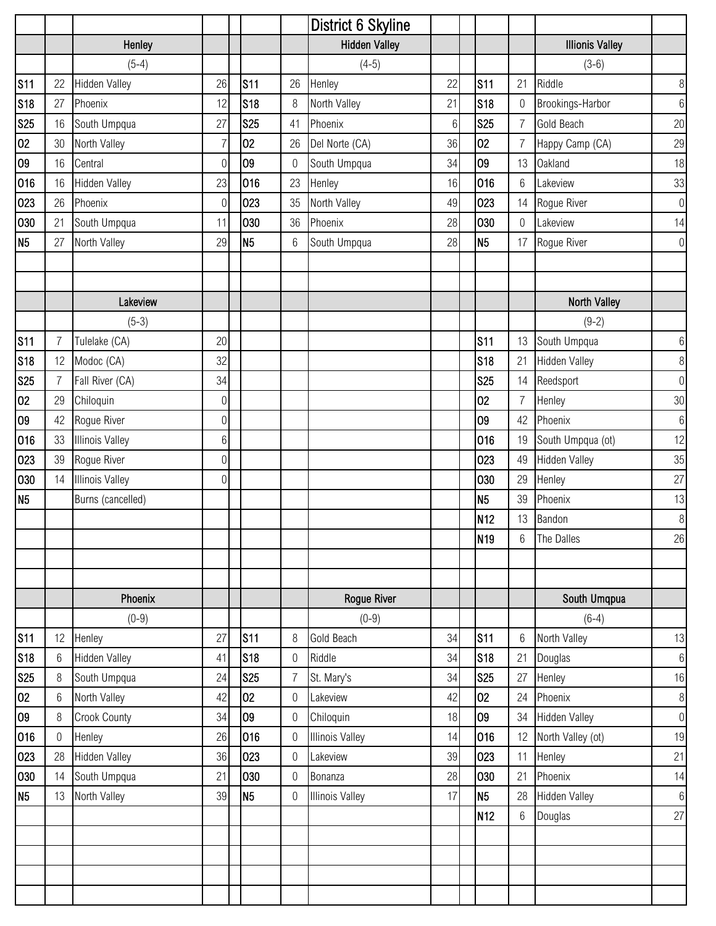|                |                  |                        |                  |                 |                  | District 6 Skyline     |       |                 |                 |                        |                  |
|----------------|------------------|------------------------|------------------|-----------------|------------------|------------------------|-------|-----------------|-----------------|------------------------|------------------|
|                |                  | Henley                 |                  |                 |                  | <b>Hidden Valley</b>   |       |                 |                 | <b>Illionis Valley</b> |                  |
|                |                  | $(5-4)$                |                  |                 |                  | $(4-5)$                |       |                 |                 | $(3-6)$                |                  |
| <b>S11</b>     | 22               | Hidden Valley          | 26               | S <sub>11</sub> | 26               | Henley                 | 22    | <b>S11</b>      | 21              | Riddle                 | $\,8\,$          |
| <b>S18</b>     | 27               | Phoenix                | 12               | S18             | 8                | North Valley           | 21    | <b>S18</b>      | $\theta$        | Brookings-Harbor       | $\,6\,$          |
| <b>S25</b>     | 16               | South Umpqua           | 27               | <b>S25</b>      | 41               | Phoenix                | $6\,$ | <b>S25</b>      | $\overline{7}$  | Gold Beach             | 20               |
| 02             | 30               | North Valley           | $\overline{7}$   | 02              | 26               | Del Norte (CA)         | 36    | 02              | $\overline{7}$  | Happy Camp (CA)        | 29               |
| 09             | 16               | Central                | $\overline{0}$   | 09              | $\mathbf 0$      | South Umpqua           | 34    | 09              | 13              | <b>Oakland</b>         | 18               |
| 016            | 16               | <b>Hidden Valley</b>   | 23               | 016             | 23               | Henley                 | 16    | 016             | $6\,$           | Lakeview               | 33               |
| 023            | 26               | Phoenix                | $\boldsymbol{0}$ | 023             | 35               | North Valley           | 49    | 023             | 14              | Rogue River            | $\mathbf 0$      |
| 030            | 21               | South Umpqua           | 11               | 030             | 36               | Phoenix                | 28    | 030             | $\mathbf 0$     | Lakeview               | 14               |
| N <sub>5</sub> | 27               | North Valley           | 29               | N <sub>5</sub>  | $6\,$            | South Umpqua           | 28    | N <sub>5</sub>  | 17              | Rogue River            | $\boldsymbol{0}$ |
|                |                  |                        |                  |                 |                  |                        |       |                 |                 |                        |                  |
|                |                  |                        |                  |                 |                  |                        |       |                 |                 |                        |                  |
|                |                  | Lakeview               |                  |                 |                  |                        |       |                 |                 | <b>North Valley</b>    |                  |
|                |                  | $(5-3)$                |                  |                 |                  |                        |       |                 |                 | $(9-2)$                |                  |
| <b>S11</b>     | $\overline{7}$   | Tulelake (CA)          | 20               |                 |                  |                        |       | <b>S11</b>      | 13              | South Umpqua           | $6\,$            |
| <b>S18</b>     | 12               | Modoc (CA)             | 32               |                 |                  |                        |       | <b>S18</b>      | 21              | <b>Hidden Valley</b>   | $\, 8$           |
| <b>S25</b>     | 7                | Fall River (CA)        | 34               |                 |                  |                        |       | <b>S25</b>      | 14              | Reedsport              | $\boldsymbol{0}$ |
| 02             | 29               | Chiloquin              | $\boldsymbol{0}$ |                 |                  |                        |       | 02              | $\overline{7}$  | Henley                 | $30\,$           |
| 09             | 42               | Rogue River            | $\overline{0}$   |                 |                  |                        |       | 09              | 42              | Phoenix                | $\boldsymbol{6}$ |
| 016            | 33               | <b>Illinois Valley</b> | $6 \mid$         |                 |                  |                        |       | 016             | 19              | South Umpqua (ot)      | 12               |
| 023            | 39               | Rogue River            | $\overline{0}$   |                 |                  |                        |       | 023             | 49              | <b>Hidden Valley</b>   | 35               |
| 030            | 14               | <b>Illinois Valley</b> | $\overline{0}$   |                 |                  |                        |       | 030             | 29              | Henley                 | 27               |
| N <sub>5</sub> |                  | Burns (cancelled)      |                  |                 |                  |                        |       | N <sub>5</sub>  | 39              | Phoenix                | 13               |
|                |                  |                        |                  |                 |                  |                        |       | N <sub>12</sub> | 13              | Bandon                 | $\, 8$           |
|                |                  |                        |                  |                 |                  |                        |       | N <sub>19</sub> | $6\,$           | The Dalles             | 26               |
|                |                  |                        |                  |                 |                  |                        |       |                 |                 |                        |                  |
|                |                  |                        |                  |                 |                  |                        |       |                 |                 |                        |                  |
|                |                  | Phoenix                |                  |                 |                  | <b>Rogue River</b>     |       |                 |                 | South Umqpua           |                  |
|                |                  | $(0-9)$                |                  |                 |                  | $(0-9)$                |       |                 |                 | $(6-4)$                |                  |
| <b>S11</b>     | 12               | Henley                 | 27               | <b>S11</b>      | 8                | Gold Beach             | 34    | <b>S11</b>      | $6\phantom{1}$  | North Valley           | 13               |
| <b>S18</b>     | 6                | <b>Hidden Valley</b>   | 41               | S18             | $\boldsymbol{0}$ | Riddle                 | 34    | <b>S18</b>      | 21              | Douglas                | $\,6\,$          |
| <b>S25</b>     | 8                | South Umpqua           | 24               | S25             | $\overline{7}$   | St. Mary's             | 34    | <b>S25</b>      | 27              | Henley                 | 16               |
| 02             | 6                | North Valley           | 42               | 02              | $\boldsymbol{0}$ | Lakeview               | 42    | 02              | 24              | Phoenix                | $\,8\,$          |
| 09             | 8                | <b>Crook County</b>    | 34               | 09              | $\mathbf 0$      | Chiloquin              | 18    | 09              | 34              | <b>Hidden Valley</b>   | $\boldsymbol{0}$ |
| 016            | $\boldsymbol{0}$ | Henley                 | 26               | 016             | $\mathbf 0$      | <b>Illinois Valley</b> | 14    | 016             | 12              | North Valley (ot)      | 19               |
| 023            | 28               | <b>Hidden Valley</b>   | 36               | 023             | $\mathbf 0$      | Lakeview               | 39    | 023             | 11              | Henley                 | 21               |
| 030            | 14               | South Umpqua           | 21               | 030             | $\boldsymbol{0}$ | Bonanza                | 28    | 030             | 21              | Phoenix                | 14               |
| N <sub>5</sub> | 13               | North Valley           | 39               | N <sub>5</sub>  | $\boldsymbol{0}$ | <b>Illinois Valley</b> | 17    | N <sub>5</sub>  | 28              | <b>Hidden Valley</b>   | $\,6\,$          |
|                |                  |                        |                  |                 |                  |                        |       | N <sub>12</sub> | $6\phantom{.}6$ | Douglas                | 27               |
|                |                  |                        |                  |                 |                  |                        |       |                 |                 |                        |                  |
|                |                  |                        |                  |                 |                  |                        |       |                 |                 |                        |                  |
|                |                  |                        |                  |                 |                  |                        |       |                 |                 |                        |                  |
|                |                  |                        |                  |                 |                  |                        |       |                 |                 |                        |                  |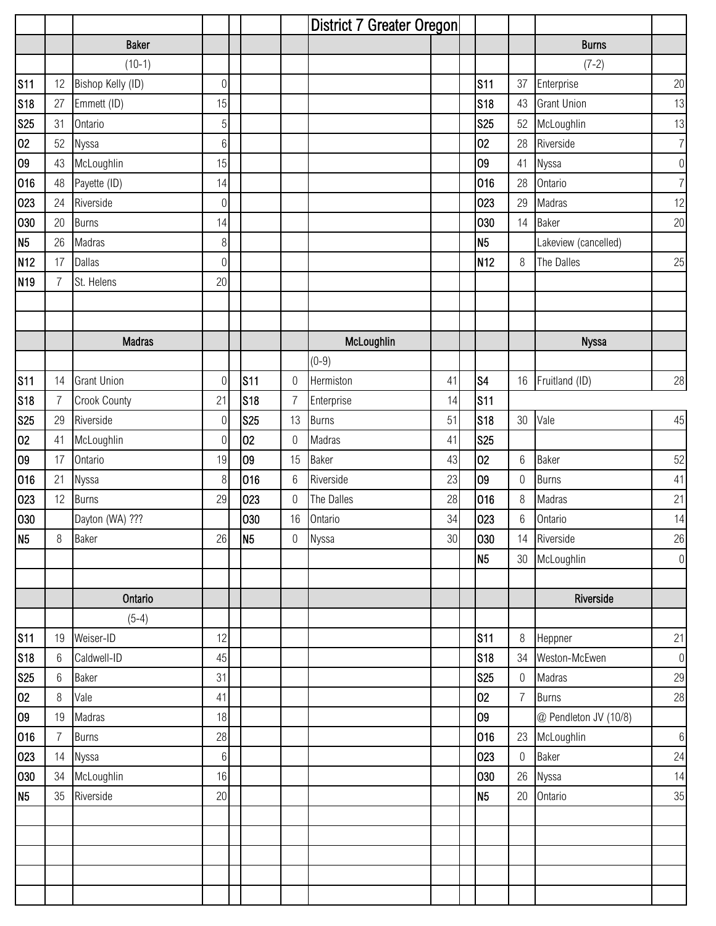|                 |                |                     |                  |                 |                  | District 7 Greater Oregon |        |                 |                  |                       |                  |
|-----------------|----------------|---------------------|------------------|-----------------|------------------|---------------------------|--------|-----------------|------------------|-----------------------|------------------|
|                 |                | <b>Baker</b>        |                  |                 |                  |                           |        |                 |                  | <b>Burns</b>          |                  |
|                 |                | $(10-1)$            |                  |                 |                  |                           |        |                 |                  | $(7-2)$               |                  |
| <b>S11</b>      | 12             | Bishop Kelly (ID)   | $\boldsymbol{0}$ |                 |                  |                           |        | <b>S11</b>      | 37               | Enterprise            | 20               |
| <b>S18</b>      | 27             | Emmett (ID)         | 15               |                 |                  |                           |        | <b>S18</b>      | 43               | <b>Grant Union</b>    | 13               |
| <b>S25</b>      | 31             | Ontario             | $\sqrt{5}$       |                 |                  |                           |        | <b>S25</b>      | 52               | McLoughlin            | 13               |
| 02              | 52             | Nyssa               | $6\,$            |                 |                  |                           |        | 02              | 28               | Riverside             | $\overline{7}$   |
| 09              | 43             | McLoughlin          | 15               |                 |                  |                           |        | 09              | 41               | Nyssa                 | $\theta$         |
| 016             | 48             | Payette (ID)        | 14               |                 |                  |                           |        | 016             | 28               | Ontario               | $\overline{7}$   |
| 023             | 24             | Riverside           | $\overline{0}$   |                 |                  |                           |        | 023             | 29               | Madras                | 12               |
| 030             | 20             | <b>Burns</b>        | 14               |                 |                  |                           |        | 030             | 14               | <b>Baker</b>          | 20               |
| N <sub>5</sub>  | 26             | Madras              | $8\,$            |                 |                  |                           |        | N <sub>5</sub>  |                  | Lakeview (cancelled)  |                  |
| N <sub>12</sub> | 17             | <b>Dallas</b>       | $\overline{0}$   |                 |                  |                           |        | N <sub>12</sub> | 8                | The Dalles            | 25               |
| N <sub>19</sub> | $\overline{7}$ | St. Helens          | 20               |                 |                  |                           |        |                 |                  |                       |                  |
|                 |                |                     |                  |                 |                  |                           |        |                 |                  |                       |                  |
|                 |                |                     |                  |                 |                  |                           |        |                 |                  |                       |                  |
|                 |                | <b>Madras</b>       |                  |                 |                  | McLoughlin                |        |                 |                  | <b>Nyssa</b>          |                  |
|                 |                |                     |                  |                 |                  | $(0-9)$                   |        |                 |                  |                       |                  |
| <b>S11</b>      | 14             | <b>Grant Union</b>  | $\bf 0$          | s <sub>11</sub> | $\boldsymbol{0}$ | Hermiston                 | 41     | S <sub>4</sub>  | 16               | Fruitland (ID)        | 28               |
| <b>S18</b>      | 7              | <b>Crook County</b> | 21               | <b>S18</b>      | $\overline{7}$   | Enterprise                | 14     | <b>S11</b>      |                  |                       |                  |
| <b>S25</b>      | 29             | Riverside           | $\mathbf 0$      | <b>S25</b>      | 13               | <b>Burns</b>              | 51     | <b>S18</b>      | 30               | Vale                  | 45               |
| 02              | 41             | McLoughlin          | $\boldsymbol{0}$ | 02              | $\mathbf 0$      | Madras                    | 41     | <b>S25</b>      |                  |                       |                  |
| 09              | 17             | Ontario             | 19               | 09              | 15               | Baker                     | 43     | 02              | $6\,$            | <b>Baker</b>          | 52               |
| 016             | 21             | Nyssa               | 8                | 016             | $6\,$            | Riverside                 | 23     | 09              | $\boldsymbol{0}$ | <b>Burns</b>          | 41               |
| 023             | 12             | <b>Burns</b>        | 29               | 023             | $\mathbf 0$      | The Dalles                | 28     | 016             | $\,8\,$          | Madras                | 21               |
| 030             |                | Dayton (WA) ???     |                  | 030             | 16               | Ontario                   | 34     | 023             | $6\,$            | Ontario               | 14               |
| N <sub>5</sub>  | $8\,$          | Baker               | 26               | N <sub>5</sub>  | $\boldsymbol{0}$ | Nyssa                     | $30\,$ | 030             |                  | 14 Riverside          | $26\,$           |
|                 |                |                     |                  |                 |                  |                           |        | N <sub>5</sub>  |                  | 30 McLoughlin         | $\boldsymbol{0}$ |
|                 |                |                     |                  |                 |                  |                           |        |                 |                  |                       |                  |
|                 |                | Ontario             |                  |                 |                  |                           |        |                 |                  | Riverside             |                  |
|                 |                | $(5-4)$             |                  |                 |                  |                           |        |                 |                  |                       |                  |
| <b>S11</b>      | 19             | Weiser-ID           | 12               |                 |                  |                           |        | <b>S11</b>      | $\,8\,$          | Heppner               | 21               |
| <b>S18</b>      | $6\,$          | Caldwell-ID         | 45               |                 |                  |                           |        | <b>S18</b>      | 34               | Weston-McEwen         | $\boldsymbol{0}$ |
| <b>S25</b>      | 6              | Baker               | 31               |                 |                  |                           |        | <b>S25</b>      | $\boldsymbol{0}$ | Madras                | 29               |
| 02              | 8              | Vale                | 41               |                 |                  |                           |        | 02              | $\overline{7}$   | <b>Burns</b>          | 28               |
| 09              | 19             | Madras              | 18               |                 |                  |                           |        | 09              |                  | @ Pendleton JV (10/8) |                  |
| 016             | $\overline{7}$ | <b>Burns</b>        | 28               |                 |                  |                           |        | 016             | 23               | McLoughlin            | $\,6\,$          |
| 023             | 14             | Nyssa               | $6\,$            |                 |                  |                           |        | 023             | $\boldsymbol{0}$ | Baker                 | 24               |
| 030             | 34             | McLoughlin          | 16               |                 |                  |                           |        | 030             | 26               | Nyssa                 | 14               |
| N <sub>5</sub>  | 35             | Riverside           | 20               |                 |                  |                           |        | N <sub>5</sub>  | 20               | Ontario               | 35               |
|                 |                |                     |                  |                 |                  |                           |        |                 |                  |                       |                  |
|                 |                |                     |                  |                 |                  |                           |        |                 |                  |                       |                  |
|                 |                |                     |                  |                 |                  |                           |        |                 |                  |                       |                  |
|                 |                |                     |                  |                 |                  |                           |        |                 |                  |                       |                  |
|                 |                |                     |                  |                 |                  |                           |        |                 |                  |                       |                  |